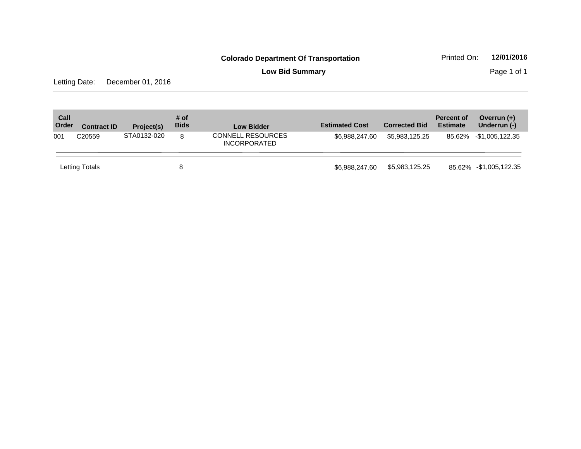**Low Bid Summary** Page 1 of 1

Letting Date: December 01, 2016

| Call<br>Order | <b>Contract ID</b> | Project(s)  | # of<br><b>Bids</b> | <b>Low Bidder</b>                               | <b>Estimated Cost</b> | <b>Corrected Bid</b> | <b>Percent of</b><br><b>Estimate</b> | Overrun $(+)$<br>Underrun (-) |
|---------------|--------------------|-------------|---------------------|-------------------------------------------------|-----------------------|----------------------|--------------------------------------|-------------------------------|
| 001           | C <sub>20559</sub> | STA0132-020 | 8                   | <b>CONNELL RESOURCES</b><br><b>INCORPORATED</b> | \$6.988.247.60        | \$5.983.125.25       |                                      | 85.62% -\$1,005,122.35        |
|               | Letting Totals     |             | 8                   |                                                 | \$6.988.247.60        | \$5,983,125.25       |                                      | 85.62% -\$1,005,122.35        |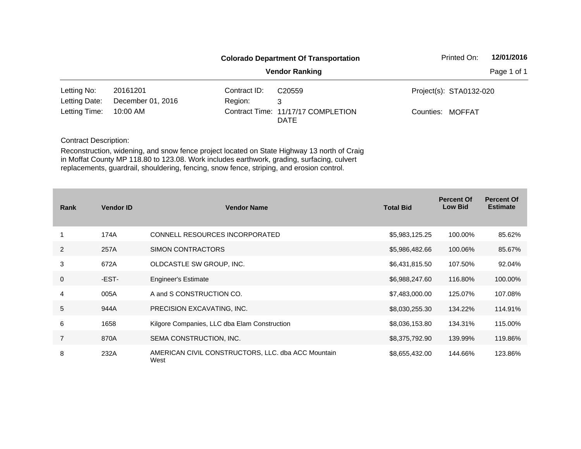|               |                   |              | <b>Colorado Department Of Transportation</b>      | Printed On:             | 12/01/2016  |
|---------------|-------------------|--------------|---------------------------------------------------|-------------------------|-------------|
|               |                   |              | <b>Vendor Ranking</b>                             |                         | Page 1 of 1 |
| Letting No:   | 20161201          | Contract ID: | C <sub>20559</sub>                                | Project(s): STA0132-020 |             |
| Letting Date: | December 01, 2016 | Region:      | 3                                                 |                         |             |
| Letting Time: | 10:00 AM          |              | Contract Time: 11/17/17 COMPLETION<br><b>DATE</b> | Counties: MOFFAT        |             |

| <b>Rank</b>    | <b>Vendor ID</b> | <b>Vendor Name</b>                                         | <b>Total Bid</b> | <b>Percent Of</b><br><b>Low Bid</b> | <b>Percent Of</b><br><b>Estimate</b> |
|----------------|------------------|------------------------------------------------------------|------------------|-------------------------------------|--------------------------------------|
|                | 174A             | CONNELL RESOURCES INCORPORATED                             | \$5,983,125.25   | 100.00%                             | 85.62%                               |
| 2              | 257A             | SIMON CONTRACTORS                                          | \$5,986,482.66   | 100.06%                             | 85.67%                               |
| 3              | 672A             | OLDCASTLE SW GROUP, INC.                                   | \$6,431,815.50   | 107.50%                             | 92.04%                               |
| 0              | -EST-            | <b>Engineer's Estimate</b>                                 | \$6,988,247.60   | 116.80%                             | 100.00%                              |
| 4              | 005A             | A and S CONSTRUCTION CO.                                   | \$7,483,000.00   | 125.07%                             | 107.08%                              |
| 5              | 944A             | PRECISION EXCAVATING, INC.                                 | \$8,030,255.30   | 134.22%                             | 114.91%                              |
| 6              | 1658             | Kilgore Companies, LLC dba Elam Construction               | \$8,036,153.80   | 134.31%                             | 115.00%                              |
| $\overline{7}$ | 870A             | SEMA CONSTRUCTION, INC.                                    | \$8,375,792.90   | 139.99%                             | 119.86%                              |
| 8              | 232A             | AMERICAN CIVIL CONSTRUCTORS, LLC. dba ACC Mountain<br>West | \$8,655,432.00   | 144.66%                             | 123.86%                              |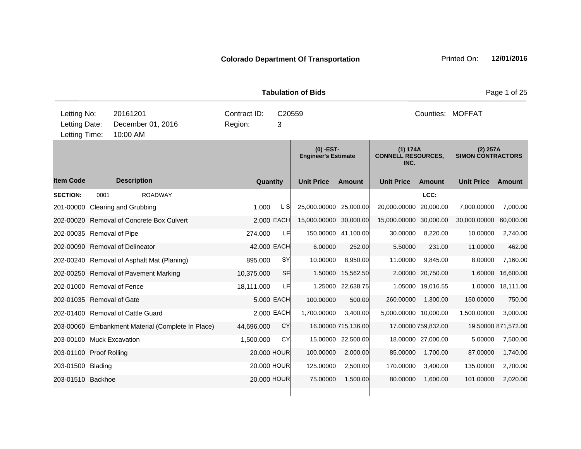|                                               |                                           |                                            |                                                   |                                        |            | <b>Tabulation of Bids</b>                 |                     |                                               |                     |                                      | Page 1 of 25        |
|-----------------------------------------------|-------------------------------------------|--------------------------------------------|---------------------------------------------------|----------------------------------------|------------|-------------------------------------------|---------------------|-----------------------------------------------|---------------------|--------------------------------------|---------------------|
| Letting No:<br>Letting Date:<br>Letting Time: | 20161201<br>December 01, 2016<br>10:00 AM |                                            |                                                   | Contract ID:<br>C20559<br>Region:<br>3 |            |                                           | Counties: MOFFAT    |                                               |                     |                                      |                     |
|                                               |                                           |                                            |                                                   |                                        |            | $(0)$ -EST-<br><b>Engineer's Estimate</b> |                     | (1) 174A<br><b>CONNELL RESOURCES,</b><br>INC. |                     | (2) 257A<br><b>SIMON CONTRACTORS</b> |                     |
| <b>Item Code</b>                              |                                           | <b>Description</b>                         |                                                   | Quantity                               |            | <b>Unit Price</b>                         | <b>Amount</b>       | <b>Unit Price</b>                             | <b>Amount</b>       | <b>Unit Price</b>                    | <b>Amount</b>       |
| <b>SECTION:</b>                               | 0001                                      | <b>ROADWAY</b>                             |                                                   |                                        |            |                                           |                     |                                               | LCC:                |                                      |                     |
|                                               |                                           | 201-00000 Clearing and Grubbing            |                                                   | 1.000                                  | L SI       | 25,000.00000 25,000.00                    |                     | 20,000.00000                                  | 20,000.00           | 7,000.00000                          | 7,000.00            |
|                                               |                                           | 202-00020 Removal of Concrete Box Culvert  |                                                   |                                        | 2.000 EACH | 15,000.00000 30,000.00                    |                     | 15,000.00000 30,000.00                        |                     | 30,000.00000                         | 60,000.00           |
| 202-00035 Removal of Pipe                     |                                           |                                            |                                                   | 274.000                                | LF         |                                           | 150.00000 41,100.00 | 30.00000                                      | 8,220.00            | 10.00000                             | 2,740.00            |
|                                               |                                           | 202-00090 Removal of Delineator            |                                                   | 42.000 EACH                            |            | 6.00000                                   | 252.00              | 5.50000                                       | 231.00              | 11.00000                             | 462.00              |
|                                               |                                           | 202-00240 Removal of Asphalt Mat (Planing) |                                                   | 895.000                                | <b>SY</b>  | 10.00000                                  | 8,950.00            | 11.00000                                      | 9,845.00            | 8.00000                              | 7,160.00            |
|                                               |                                           | 202-00250 Removal of Pavement Marking      |                                                   | 10,375.000                             | <b>SF</b>  | 1.50000                                   | 15,562.50           |                                               | 2.00000 20,750.00   | 1.60000                              | 16,600.00           |
| 202-01000 Removal of Fence                    |                                           |                                            |                                                   | 18,111.000                             | LF         |                                           | 1.25000 22,638.75   |                                               | 1.05000 19,016.55   | 1.00000                              | 18,111.00           |
| 202-01035 Removal of Gate                     |                                           |                                            |                                                   |                                        | 5.000 EACH | 100.00000                                 | 500.00              | 260.00000                                     | 1,300.00            | 150.00000                            | 750.00              |
|                                               |                                           | 202-01400 Removal of Cattle Guard          |                                                   |                                        | 2.000 EACH | 1,700.00000                               | 3,400.00            | 5,000.00000 10,000.00                         |                     | 1,500.00000                          | 3,000.00            |
|                                               |                                           |                                            | 203-00060 Embankment Material (Complete In Place) | 44,696.000                             | CY         |                                           | 16.00000 715,136.00 |                                               | 17.00000 759,832.00 |                                      | 19.50000 871,572.00 |
| 203-00100 Muck Excavation                     |                                           |                                            |                                                   | 1,500.000                              | CY         | 15.00000                                  | 22,500.00           |                                               | 18.00000 27,000.00  | 5.00000                              | 7,500.00            |
| 203-01100 Proof Rolling                       |                                           |                                            |                                                   | 20.000 HOUR                            |            | 100.00000                                 | 2,000.00            | 85.00000                                      | 1,700.00            | 87.00000                             | 1,740.00            |
| 203-01500 Blading                             |                                           |                                            |                                                   | 20.000 HOUR                            |            | 125.00000                                 | 2,500.00            | 170.00000                                     | 3,400.00            | 135.00000                            | 2,700.00            |
| 203-01510 Backhoe                             |                                           |                                            |                                                   | 20,000 HOUR                            |            | 75.00000                                  | 1,500.00            | 80.00000                                      | 1,600.00            | 101.00000                            | 2,020.00            |
|                                               |                                           |                                            |                                                   |                                        |            |                                           |                     |                                               |                     |                                      |                     |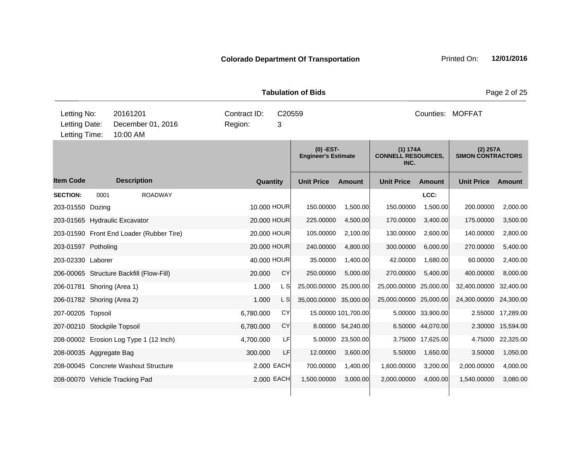|                                               |                                                                                     |                                          |           |       |                  | <b>Tabulation of Bids</b>               |                     |                                               |                   |                                        | Page 2 of 25  |
|-----------------------------------------------|-------------------------------------------------------------------------------------|------------------------------------------|-----------|-------|------------------|-----------------------------------------|---------------------|-----------------------------------------------|-------------------|----------------------------------------|---------------|
| Letting No:<br>Letting Date:<br>Letting Time: | 20161201<br>Contract ID:<br>C20559<br>December 01, 2016<br>Region:<br>3<br>10:00 AM |                                          |           |       | Counties: MOFFAT |                                         |                     |                                               |                   |                                        |               |
|                                               |                                                                                     |                                          |           |       |                  | (0) -EST-<br><b>Engineer's Estimate</b> |                     | (1) 174A<br><b>CONNELL RESOURCES,</b><br>INC. |                   | $(2)$ 257A<br><b>SIMON CONTRACTORS</b> |               |
| <b>Item Code</b>                              |                                                                                     | <b>Description</b>                       |           |       | Quantity         | <b>Unit Price</b>                       | <b>Amount</b>       | <b>Unit Price</b>                             | <b>Amount</b>     | <b>Unit Price</b>                      | <b>Amount</b> |
| <b>SECTION:</b>                               | 0001                                                                                | <b>ROADWAY</b>                           |           |       |                  |                                         |                     |                                               | LCC:              |                                        |               |
| 203-01550 Dozing                              |                                                                                     |                                          |           |       | 10.000 HOUR      | 150.00000                               | 1,500.00            | 150.00000                                     | 1,500.00          | 200.00000                              | 2,000.00      |
|                                               |                                                                                     | 203-01565 Hydraulic Excavator            |           |       | 20.000 HOUR      | 225.00000                               | 4,500.00            | 170.00000                                     | 3,400.00          | 175.00000                              | 3,500.00      |
|                                               |                                                                                     | 203-01590 Front End Loader (Rubber Tire) |           |       | 20.000 HOUR      | 105.00000                               | 2,100.00            | 130.00000                                     | 2,600.00          | 140.00000                              | 2,800.00      |
| 203-01597 Potholing                           |                                                                                     |                                          |           |       | 20.000 HOUR      | 240.00000                               | 4,800.00            | 300.00000                                     | 6,000.00          | 270.00000                              | 5,400.00      |
| 203-02330 Laborer                             |                                                                                     |                                          |           |       | 40.000 HOUR      | 35.00000                                | 1,400.00            | 42.00000                                      | 1,680.00          | 60.00000                               | 2,400.00      |
|                                               |                                                                                     | 206-00065 Structure Backfill (Flow-Fill) | 20.000    |       | CY               | 250.00000                               | 5,000.00            | 270.00000                                     | 5,400.00          | 400.00000                              | 8,000.00      |
| 206-01781 Shoring (Area 1)                    |                                                                                     |                                          |           | 1.000 | L SI             | 25,000.00000                            | 25,000.00           | 25,000.00000                                  | 25,000.00         | 32,400.00000                           | 32,400.00     |
| 206-01782 Shoring (Area 2)                    |                                                                                     |                                          | 1.000     |       | L S              | 35,000.00000 35,000.00                  |                     | 25,000.00000 25,000.00                        |                   | 24,300.00000                           | 24,300.00     |
| 207-00205 Topsoil                             |                                                                                     |                                          | 6,780.000 |       | CY               |                                         | 15.00000 101,700.00 |                                               | 5.00000 33,900.00 | 2.55000                                | 17,289.00     |
| 207-00210 Stockpile Topsoil                   |                                                                                     |                                          | 6,780.000 |       | CY               |                                         | 8.00000 54,240.00   |                                               | 6.50000 44,070.00 | 2.30000                                | 15,594.00     |
|                                               |                                                                                     | 208-00002 Erosion Log Type 1 (12 Inch)   | 4,700.000 |       | LFI              | 5.00000                                 | 23,500.00           |                                               | 3.75000 17,625.00 | 4.75000                                | 22,325.00     |
| 208-00035 Aggregate Bag                       |                                                                                     |                                          | 300.000   |       | LF               | 12.00000                                | 3,600.00            | 5.50000                                       | 1,650.00          | 3.50000                                | 1,050.00      |
|                                               |                                                                                     | 208-00045 Concrete Washout Structure     |           |       | 2.000 EACH       | 700.00000                               | 1,400.00            | 1,600.00000                                   | 3,200.00          | 2,000.00000                            | 4,000.00      |
|                                               |                                                                                     | 208-00070 Vehicle Tracking Pad           |           |       | 2,000 EACH       | 1,500.00000                             | 3,000.00            | 2,000.00000                                   | 4,000.00          | 1,540.00000                            | 3,080.00      |
|                                               |                                                                                     |                                          |           |       |                  |                                         |                     |                                               |                   |                                        |               |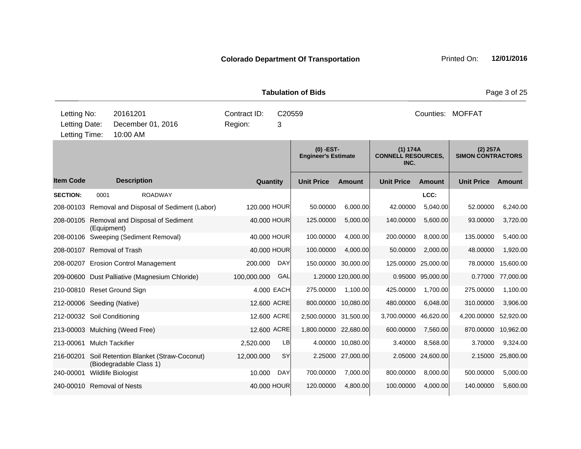| <b>Tabulation of Bids</b>                     |             |                                                                   |  |                                        |            |                                           |                     |                                               |                   |                                        | Page 3 of 25 |
|-----------------------------------------------|-------------|-------------------------------------------------------------------|--|----------------------------------------|------------|-------------------------------------------|---------------------|-----------------------------------------------|-------------------|----------------------------------------|--------------|
| Letting No:<br>Letting Date:<br>Letting Time: |             | 20161201<br>December 01, 2016<br>10:00 AM                         |  | Contract ID:<br>C20559<br>Region:<br>3 |            |                                           | Counties: MOFFAT    |                                               |                   |                                        |              |
|                                               |             |                                                                   |  |                                        |            | $(0)$ -EST-<br><b>Engineer's Estimate</b> |                     | (1) 174A<br><b>CONNELL RESOURCES,</b><br>INC. |                   | $(2)$ 257A<br><b>SIMON CONTRACTORS</b> |              |
| <b>Item Code</b>                              |             | <b>Description</b>                                                |  | Quantity                               |            | <b>Unit Price</b>                         | Amount              | <b>Unit Price</b>                             | <b>Amount</b>     | <b>Unit Price</b>                      | Amount       |
| <b>SECTION:</b>                               | 0001        | <b>ROADWAY</b>                                                    |  |                                        |            |                                           |                     |                                               | LCC:              |                                        |              |
|                                               |             | 208-00103 Removal and Disposal of Sediment (Labor)                |  | 120,000 HOUR                           |            | 50.00000                                  | 6,000.00            | 42.00000                                      | 5,040.00          | 52.00000                               | 6,240.00     |
|                                               | (Equipment) | 208-00105 Removal and Disposal of Sediment                        |  | 40.000 HOUR                            |            | 125.00000                                 | 5,000.00            | 140.00000                                     | 5,600.00          | 93.00000                               | 3,720.00     |
|                                               |             | 208-00106 Sweeping (Sediment Removal)                             |  | 40.000 HOUR                            |            | 100.00000                                 | 4,000.00            | 200.00000                                     | 8,000.00          | 135.00000                              | 5,400.00     |
| 208-00107 Removal of Trash                    |             |                                                                   |  | 40.000 HOUR                            |            | 100.00000                                 | 4,000.00            | 50.00000                                      | 2,000.00          | 48.00000                               | 1,920.00     |
|                                               |             | 208-00207 Erosion Control Management                              |  | 200.000                                | DAY        | 150.00000                                 | 30,000.00           | 125.00000                                     | 25,000.00         | 78.00000                               | 15,600.00    |
|                                               |             | 209-00600 Dust Palliative (Magnesium Chloride)                    |  | 100,000.000                            | GAL        |                                           | 1.20000 120,000.00  | 0.95000                                       | 95,000.00         | 0.77000                                | 77,000.00    |
|                                               |             | 210-00810 Reset Ground Sign                                       |  |                                        | 4.000 EACH | 275.00000                                 | 1,100.00            | 425.00000                                     | 1,700.00          | 275.00000                              | 1,100.00     |
| 212-00006 Seeding (Native)                    |             |                                                                   |  | 12.600 ACRE                            |            |                                           | 800.00000 10,080.00 | 480.00000                                     | 6,048.00          | 310.00000                              | 3,906.00     |
| 212-00032 Soil Conditioning                   |             |                                                                   |  | 12.600 ACRE                            |            | 2,500.00000 31,500.00                     |                     | 3,700.00000                                   | 46,620.00         | 4,200.00000                            | 52,920.00    |
|                                               |             | 213-00003 Mulching (Weed Free)                                    |  | 12.600 ACRE                            |            | 1,800.00000 22,680.00                     |                     | 600.00000                                     | 7,560.00          | 870.00000                              | 10,962.00    |
| 213-00061                                     |             | <b>Mulch Tackifier</b>                                            |  | 2,520.000                              | LB         |                                           | 4.00000 10,080.00   | 3.40000                                       | 8,568.00          | 3.70000                                | 9,324.00     |
| 216-00201                                     |             | Soil Retention Blanket (Straw-Coconut)<br>(Biodegradable Class 1) |  | 12,000.000                             | SY         |                                           | 2.25000 27,000.00   |                                               | 2.05000 24,600.00 | 2.15000                                | 25,800.00    |
| 240-00001                                     |             | Wildlife Biologist                                                |  | 10.000                                 | DAY        | 700.00000                                 | 7,000.00            | 800.00000                                     | 8,000.00          | 500.00000                              | 5,000.00     |
| 240-00010 Removal of Nests                    |             |                                                                   |  | 40.000 HOUR                            |            | 120.00000                                 | 4,800.00            | 100.00000                                     | 4,000.00          | 140.00000                              | 5,600.00     |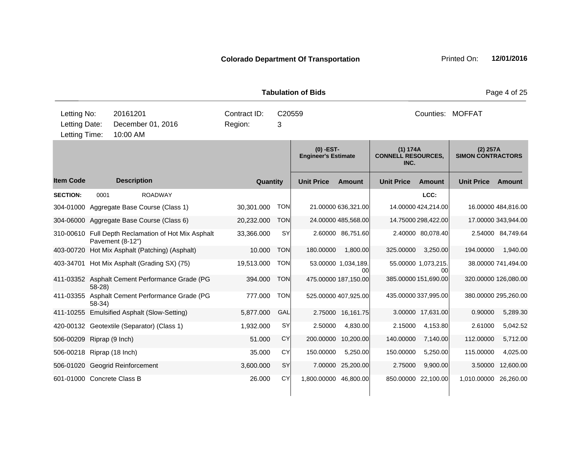|                                 |                  |                    |                                                     |                         |                 |                         | <b>Tabulation of Bids</b>                 |                           |                                               |                           |                                        | Page 4 of 25         |
|---------------------------------|------------------|--------------------|-----------------------------------------------------|-------------------------|-----------------|-------------------------|-------------------------------------------|---------------------------|-----------------------------------------------|---------------------------|----------------------------------------|----------------------|
| Letting No:<br>Letting Date:    |                  | 20161201           | December 01, 2016                                   | Contract ID:<br>Region: |                 | C <sub>20559</sub><br>3 |                                           |                           |                                               |                           | Counties: MOFFAT                       |                      |
| Letting Time:                   |                  | 10:00 AM           |                                                     |                         |                 |                         |                                           |                           |                                               |                           |                                        |                      |
|                                 |                  |                    |                                                     |                         |                 |                         | $(0)$ -EST-<br><b>Engineer's Estimate</b> |                           | (1) 174A<br><b>CONNELL RESOURCES,</b><br>INC. |                           | $(2)$ 257A<br><b>SIMON CONTRACTORS</b> |                      |
| <b>Item Code</b>                |                  | <b>Description</b> |                                                     |                         | <b>Quantity</b> |                         | <b>Unit Price</b>                         | Amount                    | <b>Unit Price</b>                             | Amount                    | <b>Unit Price</b>                      | <b>Amount</b>        |
| <b>SECTION:</b>                 | 0001             |                    | <b>ROADWAY</b>                                      |                         |                 |                         |                                           |                           |                                               | LCC:                      |                                        |                      |
|                                 |                  |                    | 304-01000 Aggregate Base Course (Class 1)           | 30,301.000              |                 | <b>TON</b>              |                                           | 21.00000 636,321.00       |                                               | 14.00000 424,214.00       |                                        | 16.00000 484,816.00  |
|                                 |                  |                    | 304-06000 Aggregate Base Course (Class 6)           | 20,232.000              |                 | <b>TON</b>              |                                           | 24.00000 485,568.00       |                                               | 14.75000 298,422.00       |                                        | 17.00000 343,944.00  |
|                                 | Pavement (8-12") |                    | 310-00610 Full Depth Reclamation of Hot Mix Asphalt | 33,366.000              |                 | <b>SY</b>               |                                           | 2.60000 86,751.60         |                                               | 2.40000 80,078.40         |                                        | 2.54000 84,749.64    |
|                                 |                  |                    | 403-00720 Hot Mix Asphalt (Patching) (Asphalt)      | 10.000                  |                 | <b>TON</b>              | 180.00000                                 | 1,800.00                  | 325.00000                                     | 3,250.00                  | 194.00000                              | 1,940.00             |
|                                 |                  |                    | 403-34701 Hot Mix Asphalt (Grading SX) (75)         | 19,513.000              |                 | <b>TON</b>              |                                           | 53.00000 1,034,189.<br>00 |                                               | 55.00000 1,073,215.<br>00 |                                        | 38.00000 741,494.00  |
|                                 | $58-28$          |                    | 411-03352 Asphalt Cement Performance Grade (PG      | 394.000                 |                 | <b>TON</b>              |                                           | 475.00000 187.150.00      |                                               | 385.00000 151,690.00      |                                        | 320.00000 126,080.00 |
| 411-03355                       | $58-34$          |                    | Asphalt Cement Performance Grade (PG                | 777.000                 |                 | <b>TON</b>              |                                           | 525.00000 407,925.00      |                                               | 435.00000 337,995.00      |                                        | 380.00000 295,260.00 |
|                                 |                  |                    | 411-10255 Emulsified Asphalt (Slow-Setting)         | 5,877.000               |                 | GAL                     |                                           | 2.75000 16,161.75         |                                               | 3.00000 17,631.00         | 0.90000                                | 5,289.30             |
|                                 |                  |                    | 420-00132 Geotextile (Separator) (Class 1)          | 1,932.000               |                 | <b>SY</b>               | 2.50000                                   | 4,830.00                  | 2.15000                                       | 4,153.80                  | 2.61000                                | 5,042.52             |
| 506-00209 Riprap (9 Inch)       |                  |                    |                                                     | 51.000                  |                 | CY                      | 200.00000                                 | 10,200.00                 | 140.00000                                     | 7,140.00                  | 112.00000                              | 5,712.00             |
| 506-00218 Riprap (18 Inch)      |                  |                    |                                                     | 35,000                  |                 | CY                      | 150.00000                                 | 5,250.00                  | 150.00000                                     | 5,250.00                  | 115.00000                              | 4,025.00             |
| 506-01020 Geogrid Reinforcement |                  |                    |                                                     | 3,600.000               |                 | SY                      |                                           | 7.00000 25,200.00         | 2.75000                                       | 9,900.00                  | 3.50000                                | 12,600.00            |
| 601-01000 Concrete Class B      |                  |                    |                                                     | 26.000                  |                 | CY                      | 1,800.00000 46,800.00                     |                           |                                               | 850.00000 22,100.00       | 1,010.00000                            | 26,260.00            |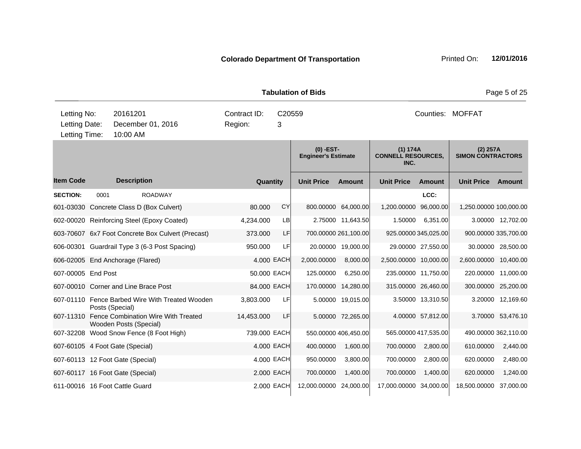|                                               |                                           |                        |                                                   |                             |           |              | <b>Tabulation of Bids</b>                 |                      |                                               |                      |                                        | Page 5 of 25         |
|-----------------------------------------------|-------------------------------------------|------------------------|---------------------------------------------------|-----------------------------|-----------|--------------|-------------------------------------------|----------------------|-----------------------------------------------|----------------------|----------------------------------------|----------------------|
| Letting No:<br>Letting Date:<br>Letting Time: | 20161201<br>December 01, 2016<br>10:00 AM |                        | Region:                                           | Contract ID:<br>C20559<br>3 |           |              |                                           | Counties: MOFFAT     |                                               |                      |                                        |                      |
|                                               |                                           |                        |                                                   |                             |           |              | $(0)$ -EST-<br><b>Engineer's Estimate</b> |                      | (1) 174A<br><b>CONNELL RESOURCES,</b><br>INC. |                      | $(2)$ 257A<br><b>SIMON CONTRACTORS</b> |                      |
| <b>Item Code</b>                              |                                           | <b>Description</b>     |                                                   |                             | Quantity  |              | <b>Unit Price</b>                         | <b>Amount</b>        | <b>Unit Price</b>                             | <b>Amount</b>        | <b>Unit Price</b>                      | <b>Amount</b>        |
| <b>SECTION:</b>                               | 0001                                      |                        | <b>ROADWAY</b>                                    |                             |           |              |                                           |                      |                                               | LCC:                 |                                        |                      |
|                                               |                                           |                        | 601-03030 Concrete Class D (Box Culvert)          |                             | 80.000    | CY           |                                           | 800.00000 64,000.00  | 1,200.00000                                   | 96,000.00            | 1,250.00000 100,000.00                 |                      |
|                                               |                                           |                        | 602-00020 Reinforcing Steel (Epoxy Coated)        |                             | 4,234.000 | LB           |                                           | 2.75000 11,643.50    | 1.50000                                       | 6,351.00             |                                        | 3.00000 12,702.00    |
|                                               |                                           |                        | 603-70607 6x7 Foot Concrete Box Culvert (Precast) |                             | 373,000   | LF           |                                           | 700.00000 261,100.00 |                                               | 925.00000 345,025.00 | 900.00000 335,700.00                   |                      |
|                                               |                                           |                        | 606-00301 Guardrail Type 3 (6-3 Post Spacing)     |                             | 950.000   | LF           |                                           | 20.00000 19,000.00   |                                               | 29.00000 27,550.00   |                                        | 30.00000 28,500.00   |
| 606-02005 End Anchorage (Flared)              |                                           |                        |                                                   |                             |           | 4.000 EACH   | 2,000.00000                               | 8,000.00             | 2,500.00000 10,000.00                         |                      | 2,600.00000 10,400.00                  |                      |
| 607-00005 End Post                            |                                           |                        |                                                   |                             |           | 50.000 EACH  | 125.00000                                 | 6,250.00             |                                               | 235.00000 11,750.00  | 220.00000                              | 11,000.00            |
| 607-00010 Corner and Line Brace Post          |                                           |                        |                                                   |                             |           | 84.000 EACH  |                                           | 170.00000 14,280.00  |                                               | 315.00000 26,460.00  |                                        | 300.00000 25,200.00  |
|                                               |                                           | Posts (Special)        | 607-01110 Fence Barbed Wire With Treated Wooden   |                             | 3,803.000 | LF           |                                           | 5.00000 19,015.00    |                                               | 3.50000 13,310.50    |                                        | 3.20000 12,169.60    |
|                                               |                                           | Wooden Posts (Special) | 607-11310 Fence Combination Wire With Treated     | 14,453.000                  |           | LF           |                                           | 5.00000 72,265.00    |                                               | 4.00000 57,812.00    |                                        | 3.70000 53,476.10    |
|                                               |                                           |                        | 607-32208 Wood Snow Fence (8 Foot High)           |                             |           | 739.000 EACH |                                           | 550.00000 406,450.00 |                                               | 565.00000 417,535.00 |                                        | 490.00000 362,110.00 |
| 607-60105 4 Foot Gate (Special)               |                                           |                        |                                                   |                             |           | 4.000 EACH   | 400.00000                                 | 1,600.00             | 700.00000                                     | 2,800.00             | 610.00000                              | 2,440.00             |
| 607-60113 12 Foot Gate (Special)              |                                           |                        |                                                   |                             |           | 4.000 EACH   | 950.00000                                 | 3,800.00             | 700.00000                                     | 2,800.00             | 620.00000                              | 2,480.00             |
| 607-60117 16 Foot Gate (Special)              |                                           |                        |                                                   |                             |           | 2.000 EACH   | 700.00000                                 | 1,400.00             | 700.00000                                     | 1,400.00             | 620.00000                              | 1,240.00             |
| 611-00016 16 Foot Cattle Guard                |                                           |                        |                                                   |                             |           | 2.000 EACH   | 12,000.00000                              | 24,000.00            | 17,000.00000 34,000.00                        |                      | 18,500.00000                           | 37,000.00            |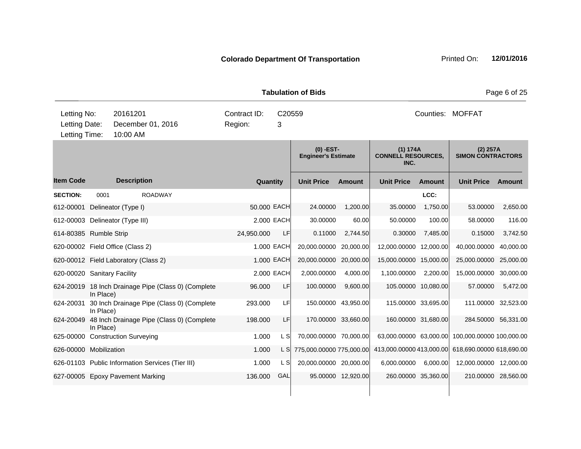|                                      |           |                     |                                                     |                                        |             | <b>Tabulation of Bids</b>                 |                     |                                               |                     |                                                 | Page 6 of 25  |
|--------------------------------------|-----------|---------------------|-----------------------------------------------------|----------------------------------------|-------------|-------------------------------------------|---------------------|-----------------------------------------------|---------------------|-------------------------------------------------|---------------|
| Letting No:<br>Letting Date:         |           | 20161201            | December 01, 2016                                   | Contract ID:<br>C20559<br>Region:<br>3 |             |                                           |                     | Counties: MOFFAT                              |                     |                                                 |               |
| Letting Time:                        |           | 10:00 AM            |                                                     |                                        |             |                                           |                     |                                               |                     |                                                 |               |
|                                      |           |                     |                                                     |                                        |             | $(0)$ -EST-<br><b>Engineer's Estimate</b> |                     | (1) 174A<br><b>CONNELL RESOURCES,</b><br>INC. |                     | $(2)$ 257A<br><b>SIMON CONTRACTORS</b>          |               |
| <b>Item Code</b>                     |           | <b>Description</b>  |                                                     |                                        | Quantity    | <b>Unit Price</b>                         | <b>Amount</b>       | <b>Unit Price</b>                             | <b>Amount</b>       | <b>Unit Price</b>                               | <b>Amount</b> |
| <b>SECTION:</b>                      | 0001      |                     | <b>ROADWAY</b>                                      |                                        |             |                                           |                     |                                               | LCC:                |                                                 |               |
| 612-00001                            |           | Delineator (Type I) |                                                     |                                        | 50.000 EACH | 24.00000                                  | 1,200.00            | 35.00000                                      | 1,750.00            | 53.00000                                        | 2,650.00      |
| 612-00003 Delineator (Type III)      |           |                     |                                                     |                                        | 2.000 EACH  | 30.00000                                  | 60.00               | 50.00000                                      | 100.00              | 58.00000                                        | 116.00        |
| 614-80385 Rumble Strip               |           |                     |                                                     | 24,950.000                             | LF.         | 0.11000                                   | 2,744.50            | 0.30000                                       | 7,485.00            | 0.15000                                         | 3,742.50      |
| 620-00002 Field Office (Class 2)     |           |                     |                                                     |                                        | 1.000 EACH  | 20,000.00000                              | 20,000.00           | 12,000.00000                                  | 12,000.00           | 40,000.00000                                    | 40,000.00     |
| 620-00012 Field Laboratory (Class 2) |           |                     |                                                     |                                        | 1.000 EACH  | 20,000.00000 20,000.00                    |                     | 15,000.00000 15,000.00                        |                     | 25,000.00000                                    | 25,000.00     |
| 620-00020 Sanitary Facility          |           |                     |                                                     |                                        | 2.000 EACH  | 2,000.00000                               | 4,000.00            | 1,100.00000                                   | 2,200.00            | 15,000.00000                                    | 30,000.00     |
|                                      | In Place) |                     | 624-20019 18 Inch Drainage Pipe (Class 0) (Complete | 96.000                                 | <b>LF</b>   | 100.00000                                 | 9,600.00            |                                               | 105.00000 10,080.00 | 57.00000                                        | 5,472.00      |
| 624-20031                            | In Place) |                     | 30 Inch Drainage Pipe (Class 0) (Complete           | 293.000                                | LF          |                                           | 150.00000 43,950.00 |                                               | 115.00000 33,695.00 | 111.00000 32,523.00                             |               |
|                                      | In Place) |                     | 624-20049 48 Inch Drainage Pipe (Class 0) (Complete | 198.000                                | <b>LF</b>   |                                           | 170.00000 33,660.00 |                                               | 160.00000 31,680.00 | 284.50000 56,331.00                             |               |
| 625-00000 Construction Surveying     |           |                     |                                                     | 1.000                                  | L SI        | 70,000.00000 70,000.00                    |                     |                                               |                     | 63,000.00000 63,000.00 100,000.00000 100,000.00 |               |
| 626-00000 Mobilization               |           |                     |                                                     | 1.000                                  | L S         | 775,000.00000 775,000.00                  |                     | 413,000.00000 413,000.00                      |                     | 618,690.00000 618,690.00                        |               |
|                                      |           |                     | 626-01103 Public Information Services (Tier III)    | 1.000                                  | L SI        | 20,000.00000 20,000.00                    |                     | 6,000.00000                                   | 6,000.00            | 12,000.00000 12,000.00                          |               |
| 627-00005 Epoxy Pavement Marking     |           |                     |                                                     | 136.000                                | GAL         |                                           | 95.00000 12,920.00  |                                               | 260.00000 35,360.00 | 210.00000 28,560.00                             |               |
|                                      |           |                     |                                                     |                                        |             |                                           |                     |                                               |                     |                                                 |               |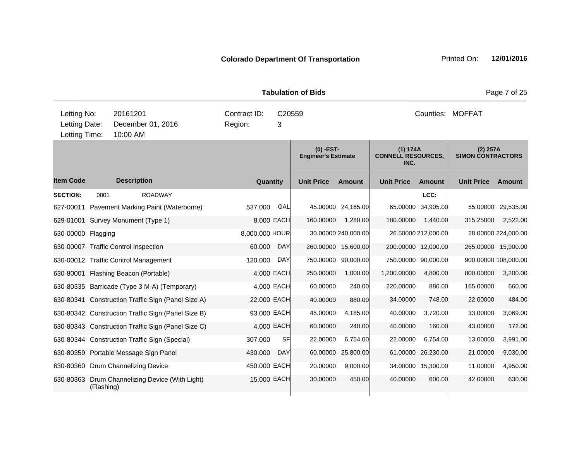|                                               |                                           |                                               |                                                    |                                        |            | <b>Tabulation of Bids</b>               |                     |                                               |                     |                                      | Page 7 of 25         |
|-----------------------------------------------|-------------------------------------------|-----------------------------------------------|----------------------------------------------------|----------------------------------------|------------|-----------------------------------------|---------------------|-----------------------------------------------|---------------------|--------------------------------------|----------------------|
| Letting No:<br>Letting Date:<br>Letting Time: | 20161201<br>December 01, 2016<br>10:00 AM |                                               |                                                    | Contract ID:<br>C20559<br>Region:<br>3 |            |                                         |                     |                                               | Counties: MOFFAT    |                                      |                      |
|                                               |                                           |                                               |                                                    |                                        |            | (0) -EST-<br><b>Engineer's Estimate</b> |                     | (1) 174A<br><b>CONNELL RESOURCES,</b><br>INC. |                     | (2) 257A<br><b>SIMON CONTRACTORS</b> |                      |
| <b>Item Code</b>                              |                                           | <b>Description</b>                            |                                                    | Quantity                               |            | <b>Unit Price</b>                       | <b>Amount</b>       | <b>Unit Price</b>                             | <b>Amount</b>       | <b>Unit Price</b>                    | <b>Amount</b>        |
| <b>SECTION:</b>                               | 0001                                      |                                               | <b>ROADWAY</b>                                     |                                        |            |                                         |                     |                                               | LCC:                |                                      |                      |
|                                               |                                           |                                               | 627-00011 Pavement Marking Paint (Waterborne)      | 537.000                                | GAL        |                                         | 45.00000 24,165.00  | 65.00000                                      | 34,905.00           | 55.00000                             | 29,535.00            |
|                                               |                                           | 629-01001 Survey Monument (Type 1)            |                                                    |                                        | 8.000 EACH | 160.00000                               | 1,280.00            | 180.00000                                     | 1,440.00            | 315.25000                            | 2,522.00             |
| 630-00000 Flagging                            |                                           |                                               |                                                    | 8,000.000 HOUR                         |            |                                         | 30.00000 240,000.00 |                                               | 26.50000 212,000.00 |                                      | 28.00000 224,000.00  |
|                                               |                                           | 630-00007 Traffic Control Inspection          |                                                    | 60.000                                 | <b>DAY</b> |                                         | 260.00000 15,600.00 |                                               | 200.00000 12,000.00 |                                      | 265.00000 15,900.00  |
|                                               |                                           | 630-00012 Traffic Control Management          |                                                    | 120.000                                | <b>DAY</b> |                                         | 750.00000 90,000.00 |                                               | 750.00000 90,000.00 |                                      | 900.00000 108,000.00 |
|                                               |                                           | 630-80001 Flashing Beacon (Portable)          |                                                    |                                        | 4.000 EACH | 250.00000                               | 1,000.00            | 1,200.00000                                   | 4,800.00            | 800.00000                            | 3,200.00             |
|                                               |                                           | 630-80335 Barricade (Type 3 M-A) (Temporary)  |                                                    |                                        | 4.000 EACH | 60.00000                                | 240.00              | 220.00000                                     | 880.00              | 165.00000                            | 660.00               |
|                                               |                                           |                                               | 630-80341 Construction Traffic Sign (Panel Size A) | 22.000 EACH                            |            | 40.00000                                | 880.00              | 34.00000                                      | 748.00              | 22.00000                             | 484.00               |
|                                               |                                           |                                               | 630-80342 Construction Traffic Sign (Panel Size B) | 93.000 EACH                            |            | 45.00000                                | 4,185.00            | 40.00000                                      | 3,720.00            | 33.00000                             | 3,069.00             |
|                                               |                                           |                                               | 630-80343 Construction Traffic Sign (Panel Size C) |                                        | 4.000 EACH | 60.00000                                | 240.00              | 40.00000                                      | 160.00              | 43.00000                             | 172.00               |
|                                               |                                           | 630-80344 Construction Traffic Sign (Special) |                                                    | 307.000                                | <b>SF</b>  | 22.00000                                | 6,754.00            | 22.00000                                      | 6,754.00            | 13.00000                             | 3,991.00             |
|                                               |                                           | 630-80359 Portable Message Sign Panel         |                                                    | 430.000                                | <b>DAY</b> | 60.00000                                | 25,800.00           | 61.00000                                      | 26,230.00           | 21.00000                             | 9,030.00             |
|                                               |                                           | 630-80360 Drum Channelizing Device            |                                                    | 450.000 EACH                           |            | 20.00000                                | 9,000.00            |                                               | 34.00000 15,300.00  | 11.00000                             | 4,950.00             |
| 630-80363                                     | (Flashing)                                |                                               | Drum Channelizing Device (With Light)              | 15.000 EACH                            |            | 30.00000                                | 450.00              | 40.00000                                      | 600.00              | 42.00000                             | 630.00               |
|                                               |                                           |                                               |                                                    |                                        |            |                                         |                     |                                               |                     |                                      |                      |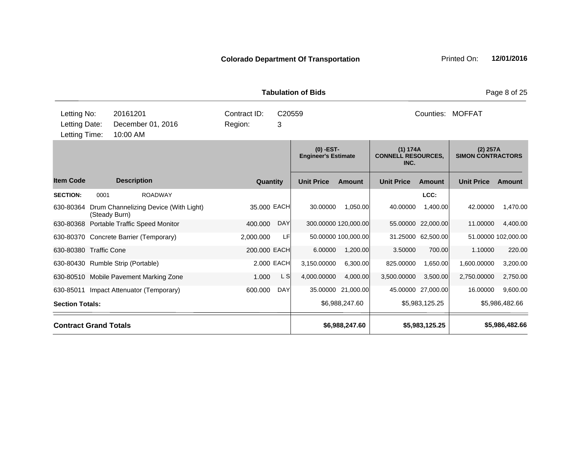| Printed On: | 1: |
|-------------|----|
|             |    |

| Letting No:<br>20161201<br>Letting Date:<br>December 01, 2016<br>10:00 AM<br>Letting Time: | Contract ID:<br>3<br>Region: | C <sub>20559</sub>                        |                                               | Counties: MOFFAT                       |  |  |  |  |
|--------------------------------------------------------------------------------------------|------------------------------|-------------------------------------------|-----------------------------------------------|----------------------------------------|--|--|--|--|
|                                                                                            |                              | $(0)$ -EST-<br><b>Engineer's Estimate</b> | (1) 174A<br><b>CONNELL RESOURCES,</b><br>INC. | $(2)$ 257A<br><b>SIMON CONTRACTORS</b> |  |  |  |  |
| <b>Item Code</b><br><b>Description</b>                                                     | Quantity                     | <b>Unit Price</b><br><b>Amount</b>        | <b>Unit Price</b><br><b>Amount</b>            | <b>Unit Price</b><br><b>Amount</b>     |  |  |  |  |
| <b>SECTION:</b><br>0001<br><b>ROADWAY</b>                                                  |                              |                                           | LCC:                                          |                                        |  |  |  |  |
| 630-80364<br>Drum Channelizing Device (With Light)<br>(Steady Burn)                        | 35.000 EACH                  | 30.00000<br>1,050.00                      | 40.00000<br>1.400.00                          | 42.00000<br>1,470.00                   |  |  |  |  |
| 630-80368 Portable Traffic Speed Monitor                                                   | 400.000<br><b>DAY</b>        | 300.00000 120,000.00                      | 55.00000 22,000.00                            | 4,400.00<br>11.00000                   |  |  |  |  |
| 630-80370 Concrete Barrier (Temporary)                                                     | LF<br>2,000.000              | 50.00000 100,000.00                       | 31.25000 62,500.00                            | 51.00000 102,000.00                    |  |  |  |  |
| 630-80380 Traffic Cone                                                                     | 200.000 EACH                 | 6.00000<br>1,200.00                       | 3.50000<br>700.00                             | 220.00<br>1.10000                      |  |  |  |  |
| 630-80430 Rumble Strip (Portable)                                                          | 2.000 EACH                   | 3,150.00000<br>6,300.00                   | 825.00000<br>1,650.00                         | 1,600.00000<br>3,200.00                |  |  |  |  |
| 630-80510 Mobile Pavement Marking Zone                                                     | L S<br>1.000                 | 4,000.00000<br>4,000.00                   | 3,500.00000<br>3,500.00                       | 2,750.00<br>2,750.00000                |  |  |  |  |
| 630-85011<br>Impact Attenuator (Temporary)                                                 | 600.000<br><b>DAY</b>        | 35.00000<br>21,000.00                     | 45.00000 27,000.00                            | 9,600.00<br>16.00000                   |  |  |  |  |
| <b>Section Totals:</b>                                                                     |                              | \$6,988,247.60                            | \$5,983,125.25                                | \$5,986,482.66                         |  |  |  |  |
| <b>Contract Grand Totals</b>                                                               |                              | \$6,988,247.60                            | \$5,983,125.25                                | \$5,986,482.66                         |  |  |  |  |

**Tabulation of Bids Page 8 of 25**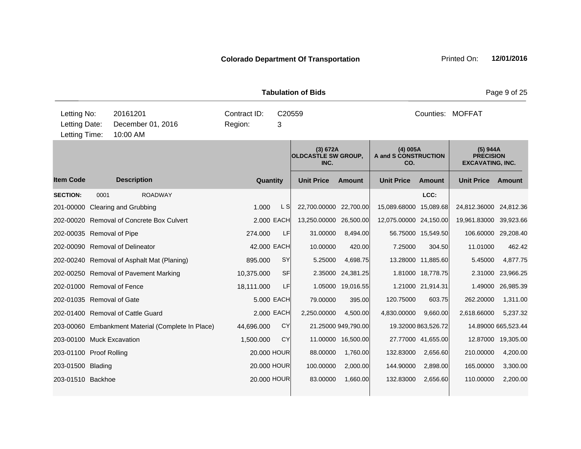**Quantity Unit Price Unit Price Item Code Amount Unit Price Amount Ext Ext Unit Price Amount Ext (3) 672A OLDCASTLE SW GROUP, INC. (4) 005A A and S CONSTRUCTION CO. (5) 944A PRECISION EXCAVATING, INC. Description SECTION:** 0001 ROADWAY **LCC:** 201-00000 Clearing and Grubbing 2.000 Clearing and Grubbing 1.000 L S 22,700.0000 22,700.000 15,089.68000 15,089.68 24,812.36000 24,812.36 202-00020 Removal of Concrete Box Culvert 2.000 EACH 13,250.00000 26,500.00 12,075.00000 24,150.00 19,961.83000 39,923.66 202-00035 Removal of Pipe 274.000 LF 31.00000 8,494.00 56.75000 15,549.50 106.60000 29,208.40 202-00090 Removal of Delineator 42.000 EACH 10.00000 420.00 7.25000 304.50 11.01000 462.42 202-00240 Removal of Asphalt Mat (Planing) 895.000 SY 5.25000 4,698.75 13.28000 11,885.60 5.45000 4,877.75 202-00250 Removal of Pavement Marking 10,375.000 SF 2.35000 24,381.25 1.81000 18,778.75 2.31000 23,966.25 202-01000 Removal of Fence 18,111.000 LF 1.05000 19,016.55 1.21000 21,914.31 1.49000 26,985.39 202-01035 Removal of Gate 5.000 EACH 79.00000 395.00 120.75000 603.75 262.20000 1,311.00 202-01400 Removal of Cattle Guard 2.000 EACH 2,250.00000 4,500.00 4,830.00000 9,660.00 2,618.66000 5,237.32 203-00060 Embankment Material (Complete In Place) 44,696.000 CY 21.25000 949,790.00 19.32000 863,526.72 14.89000 665,523.44 203-00100 Muck Excavation 1,500.000 CY 11.00000 16,500.00 27.77000 41,655.00 12.87000 19,305.00 203-01100 Proof Rolling 20.000 HOUR 88.00000 1,760.00 132.83000 2,656.60 210.00000 4,200.00 203-01500 Blading 20.000 HOUR 100.00000 2,000.00 144.90000 2,898.00 165.00000 3,300.00 203-01510 Backhoe 20.000 HOUR 83.00000 1,660.00 132.83000 2,656.60 110.00000 2,200.00 **Tabulation of Bids Page 9 of 25** 10:00 AM Counties: MOFFAT Letting Date: December 01, 2016 Region: 3 C20559 Region: Letting Time: Letting No: 20161201 Contract ID: Counties: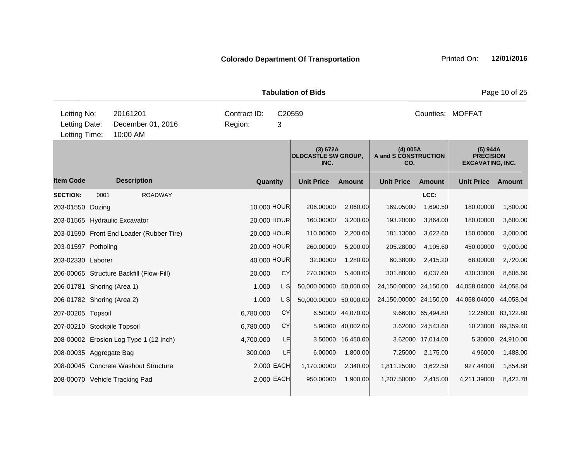|                                               |      |                                           |                         |             |             | <b>Tabulation of Bids</b>                      |               |                                         |                   |                                                         | Page 10 of 25     |
|-----------------------------------------------|------|-------------------------------------------|-------------------------|-------------|-------------|------------------------------------------------|---------------|-----------------------------------------|-------------------|---------------------------------------------------------|-------------------|
| Letting No:<br>Letting Date:<br>Letting Time: |      | 20161201<br>December 01, 2016<br>10:00 AM | Contract ID:<br>Region: |             | C20559<br>3 |                                                |               |                                         |                   | Counties: MOFFAT                                        |                   |
|                                               |      |                                           |                         |             |             | (3) 672A<br><b>OLDCASTLE SW GROUP,</b><br>INC. |               | (4) 005A<br>A and S CONSTRUCTION<br>CO. |                   | (5) 944A<br><b>PRECISION</b><br><b>EXCAVATING, INC.</b> |                   |
| <b>Item Code</b>                              |      | <b>Description</b>                        |                         | Quantity    |             | <b>Unit Price</b>                              | <b>Amount</b> | <b>Unit Price</b>                       | <b>Amount</b>     | <b>Unit Price</b>                                       | Amount            |
| <b>SECTION:</b>                               | 0001 | <b>ROADWAY</b>                            |                         |             |             |                                                |               |                                         | LCC:              |                                                         |                   |
| 203-01550 Dozing                              |      |                                           |                         |             | 10.000 HOUR | 206.00000                                      | 2,060.00      | 169.05000                               | 1,690.50          | 180.00000                                               | 1,800.00          |
|                                               |      | 203-01565 Hydraulic Excavator             |                         |             | 20.000 HOUR | 160.00000                                      | 3,200.00      | 193.20000                               | 3,864.00          | 180.00000                                               | 3,600.00          |
|                                               |      | 203-01590 Front End Loader (Rubber Tire)  |                         | 20.000 HOUR |             | 110.00000                                      | 2,200.00      | 181.13000                               | 3,622.60          | 150.00000                                               | 3,000.00          |
| 203-01597 Potholing                           |      |                                           |                         |             | 20.000 HOUR | 260.00000                                      | 5,200.00      | 205.28000                               | 4,105.60          | 450.00000                                               | 9,000.00          |
| 203-02330 Laborer                             |      |                                           |                         |             | 40.000 HOUR | 32.00000                                       | 1,280.00      | 60.38000                                | 2,415.20          | 68.00000                                                | 2,720.00          |
|                                               |      | 206-00065 Structure Backfill (Flow-Fill)  | 20.000                  |             | <b>CY</b>   | 270.00000                                      | 5,400.00      | 301.88000                               | 6,037.60          | 430.33000                                               | 8,606.60          |
| 206-01781 Shoring (Area 1)                    |      |                                           | 1.000                   |             | L S         | 50,000.00000                                   | 50,000.00     | 24,150.00000 24,150.00                  |                   | 44,058.04000                                            | 44,058.04         |
| 206-01782 Shoring (Area 2)                    |      |                                           | 1.000                   |             | L S         | 50,000.00000 50,000.00                         |               | 24,150.00000 24,150.00                  |                   | 44,058.04000                                            | 44,058.04         |
| 207-00205 Topsoil                             |      |                                           | 6,780.000               |             | <b>CY</b>   | 6.50000                                        | 44,070.00     |                                         | 9.66000 65,494.80 | 12.26000                                                | 83,122.80         |
| 207-00210 Stockpile Topsoil                   |      |                                           | 6,780.000               |             | CY          | 5.90000                                        | 40,002.00     |                                         | 3.62000 24,543.60 | 10.23000                                                | 69,359.40         |
|                                               |      | 208-00002 Erosion Log Type 1 (12 Inch)    | 4,700.000               |             | LF          | 3.50000                                        | 16,450.00     |                                         | 3.62000 17,014.00 |                                                         | 5.30000 24,910.00 |
| 208-00035 Aggregate Bag                       |      |                                           | 300.000                 |             | LF          | 6.00000                                        | 1,800.00      | 7.25000                                 | 2,175.00          | 4.96000                                                 | 1,488.00          |
|                                               |      | 208-00045 Concrete Washout Structure      |                         | 2.000 EACH  |             | 1,170.00000                                    | 2,340.00      | 1,811.25000                             | 3,622.50          | 927.44000                                               | 1,854.88          |
|                                               |      | 208-00070 Vehicle Tracking Pad            |                         | 2,000 EACH  |             | 950.00000                                      | 1,900.00      | 1,207.50000                             | 2,415.00          | 4,211.39000                                             | 8,422.78          |
|                                               |      |                                           |                         |             |             |                                                |               |                                         |                   |                                                         |                   |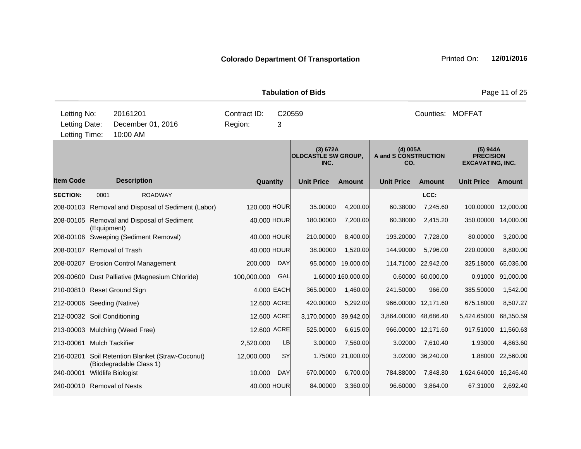|                                               |             |                         |                                                    |                         |             | <b>Tabulation of Bids</b>                      |                    |                                           |                     |                                                         | Page 11 of 25     |
|-----------------------------------------------|-------------|-------------------------|----------------------------------------------------|-------------------------|-------------|------------------------------------------------|--------------------|-------------------------------------------|---------------------|---------------------------------------------------------|-------------------|
| Letting No:<br>Letting Date:<br>Letting Time: |             | 20161201<br>10:00 AM    | December 01, 2016                                  | Contract ID:<br>Region: | 3           | C20559                                         |                    |                                           |                     | Counties: MOFFAT                                        |                   |
|                                               |             |                         |                                                    |                         |             | (3) 672A<br><b>OLDCASTLE SW GROUP,</b><br>INC. |                    | $(4)$ 005A<br>A and S CONSTRUCTION<br>CO. |                     | (5) 944A<br><b>PRECISION</b><br><b>EXCAVATING, INC.</b> |                   |
| <b>Item Code</b>                              |             | <b>Description</b>      |                                                    |                         | Quantity    | <b>Unit Price</b>                              | <b>Amount</b>      | <b>Unit Price</b>                         | <b>Amount</b>       | <b>Unit Price</b>                                       | Amount            |
| <b>SECTION:</b>                               | 0001        |                         | <b>ROADWAY</b>                                     |                         |             |                                                |                    |                                           | LCC:                |                                                         |                   |
|                                               |             |                         | 208-00103 Removal and Disposal of Sediment (Labor) | 120,000 HOUR            |             | 35.00000                                       | 4,200.00           | 60.38000                                  | 7,245.60            | 100.00000                                               | 12,000.00         |
|                                               | (Equipment) |                         | 208-00105 Removal and Disposal of Sediment         |                         | 40.000 HOUR | 180.00000                                      | 7,200.00           | 60.38000                                  | 2,415.20            | 350.00000 14,000.00                                     |                   |
|                                               |             |                         | 208-00106 Sweeping (Sediment Removal)              |                         | 40.000 HOUR | 210.00000                                      | 8,400.00           | 193.20000                                 | 7,728.00            | 80.00000                                                | 3,200.00          |
| 208-00107 Removal of Trash                    |             |                         |                                                    |                         | 40.000 HOUR | 38.00000                                       | 1,520.00           | 144.90000                                 | 5,796.00            | 220.00000                                               | 8,800.00          |
|                                               |             |                         | 208-00207 Erosion Control Management               | 200.000                 | <b>DAY</b>  | 95.00000                                       | 19,000.00          |                                           | 114.71000 22,942.00 | 325.18000                                               | 65,036.00         |
|                                               |             |                         | 209-00600 Dust Palliative (Magnesium Chloride)     | 100,000.000             | GAL         |                                                | 1.60000 160,000.00 |                                           | 0.60000 60,000.00   |                                                         | 0.91000 91,000.00 |
| 210-00810 Reset Ground Sign                   |             |                         |                                                    |                         | 4.000 EACH  | 365.00000                                      | 1,460.00           | 241.50000                                 | 966.00              | 385.50000                                               | 1,542.00          |
| 212-00006 Seeding (Native)                    |             |                         |                                                    |                         | 12.600 ACRE | 420.00000                                      | 5,292.00           |                                           | 966.00000 12,171.60 | 675.18000                                               | 8,507.27          |
| 212-00032 Soil Conditioning                   |             |                         |                                                    |                         | 12.600 ACRE | 3,170.00000                                    | 39,942.00          | 3,864.00000 48,686.40                     |                     | 5,424.65000                                             | 68,350.59         |
| 213-00003 Mulching (Weed Free)                |             |                         |                                                    |                         | 12.600 ACRE | 525.00000                                      | 6,615.00           |                                           | 966.00000 12,171.60 | 917.51000                                               | 11,560.63         |
| 213-00061                                     |             | <b>Mulch Tackifier</b>  |                                                    | 2,520.000               | LB          | 3.00000                                        | 7,560.00           | 3.02000                                   | 7,610.40            | 1.93000                                                 | 4,863.60          |
| 216-00201                                     |             | (Biodegradable Class 1) | Soil Retention Blanket (Straw-Coconut)             | 12,000.000              | <b>SY</b>   | 1.75000                                        | 21,000.00          |                                           | 3.02000 36,240.00   |                                                         | 1.88000 22,560.00 |
| 240-00001                                     |             | Wildlife Biologist      |                                                    | 10.000                  | <b>DAY</b>  | 670.00000                                      | 6,700.00           | 784.88000                                 | 7,848.80            | 1,624.64000 16,246.40                                   |                   |
| 240-00010 Removal of Nests                    |             |                         |                                                    |                         | 40.000 HOUR | 84.00000                                       | 3,360.00           | 96.60000                                  | 3,864.00            | 67.31000                                                | 2,692.40          |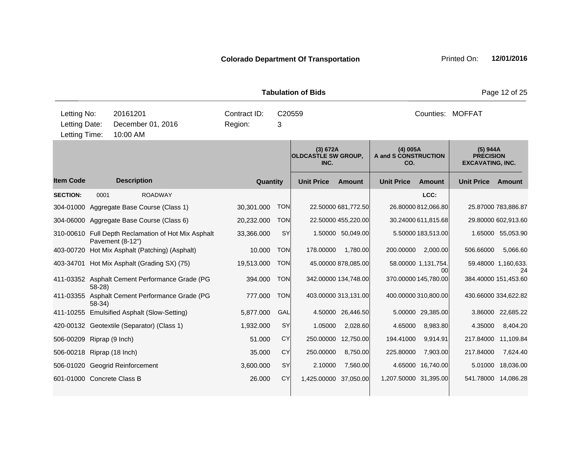|                                               |           |                      |                                                     |                         |            | <b>Tabulation of Bids</b>                      |                      |                                         |                           |                                                         | Page 12 of 25             |
|-----------------------------------------------|-----------|----------------------|-----------------------------------------------------|-------------------------|------------|------------------------------------------------|----------------------|-----------------------------------------|---------------------------|---------------------------------------------------------|---------------------------|
| Letting No:<br>Letting Date:<br>Letting Time: |           | 20161201<br>10:00 AM | December 01, 2016                                   | Contract ID:<br>Region: | 3          | C20559                                         |                      |                                         |                           | Counties: MOFFAT                                        |                           |
|                                               |           |                      |                                                     |                         |            | (3) 672A<br><b>OLDCASTLE SW GROUP,</b><br>INC. |                      | (4) 005A<br>A and S CONSTRUCTION<br>CO. |                           | (5) 944A<br><b>PRECISION</b><br><b>EXCAVATING, INC.</b> |                           |
| <b>Item Code</b>                              |           | <b>Description</b>   |                                                     |                         | Quantity   | <b>Unit Price</b>                              | <b>Amount</b>        | <b>Unit Price</b>                       | <b>Amount</b>             | <b>Unit Price</b>                                       | Amount                    |
| <b>SECTION:</b>                               | 0001      |                      | <b>ROADWAY</b>                                      |                         |            |                                                |                      |                                         | LCC:                      |                                                         |                           |
|                                               |           |                      | 304-01000 Aggregate Base Course (Class 1)           | 30,301.000              | <b>TON</b> |                                                | 22.50000 681,772.50  |                                         | 26.80000 812,066.80       |                                                         | 25.87000 783,886.87       |
|                                               |           |                      | 304-06000 Aggregate Base Course (Class 6)           | 20,232.000              | <b>TON</b> |                                                | 22.50000 455,220.00  |                                         | 30.24000 611,815.68       |                                                         | 29.80000 602,913.60       |
|                                               |           | Pavement (8-12")     | 310-00610 Full Depth Reclamation of Hot Mix Asphalt | 33,366.000              | SY         |                                                | 1.50000 50,049.00    |                                         | 5.50000 183,513.00        |                                                         | 1.65000 55,053.90         |
|                                               |           |                      | 403-00720 Hot Mix Asphalt (Patching) (Asphalt)      | 10.000                  | <b>TON</b> | 178.00000                                      | 1,780.00             | 200.00000                               | 2,000.00                  | 506.66000                                               | 5,066.60                  |
|                                               |           |                      | 403-34701 Hot Mix Asphalt (Grading SX) (75)         | 19,513.000              | <b>TON</b> |                                                | 45.00000 878,085.00  |                                         | 58.00000 1,131,754.<br>00 |                                                         | 59.48000 1,160,633.<br>24 |
|                                               | $58 - 28$ |                      | 411-03352 Asphalt Cement Performance Grade (PG      | 394.000                 | <b>TON</b> |                                                | 342.00000 134,748.00 |                                         | 370.00000 145,780.00      |                                                         | 384.40000 151,453.60      |
| 411-03355                                     | $58-34)$  |                      | Asphalt Cement Performance Grade (PG                | 777.000                 | <b>TON</b> |                                                | 403.00000 313,131.00 |                                         | 400.00000 310,800.00      |                                                         | 430.66000 334,622.82      |
|                                               |           |                      | 411-10255 Emulsified Asphalt (Slow-Setting)         | 5,877.000               | GAL        |                                                | 4.50000 26,446.50    |                                         | 5.00000 29,385.00         |                                                         | 3.86000 22,685.22         |
|                                               |           |                      | 420-00132 Geotextile (Separator) (Class 1)          | 1,932.000               | SY         | 1.05000                                        | 2,028.60             | 4.65000                                 | 8,983.80                  | 4.35000                                                 | 8,404.20                  |
| 506-00209 Riprap (9 Inch)                     |           |                      |                                                     | 51.000                  | <b>CY</b>  |                                                | 250.00000 12,750.00  | 194.41000                               | 9,914.91                  |                                                         | 217.84000 11,109.84       |
| 506-00218 Riprap (18 Inch)                    |           |                      |                                                     | 35.000                  | <b>CY</b>  | 250.00000                                      | 8,750.00             | 225.80000                               | 7,903.00                  | 217.84000                                               | 7,624.40                  |
| 506-01020 Geogrid Reinforcement               |           |                      |                                                     | 3,600.000               | SY         | 2.10000                                        | 7,560.00             |                                         | 4.65000 16,740.00         | 5.01000                                                 | 18,036.00                 |
| 601-01000 Concrete Class B                    |           |                      |                                                     | 26.000                  | <b>CY</b>  | 1,425.00000 37,050.00                          |                      | 1,207.50000 31,395.00                   |                           |                                                         | 541.78000 14,086.28       |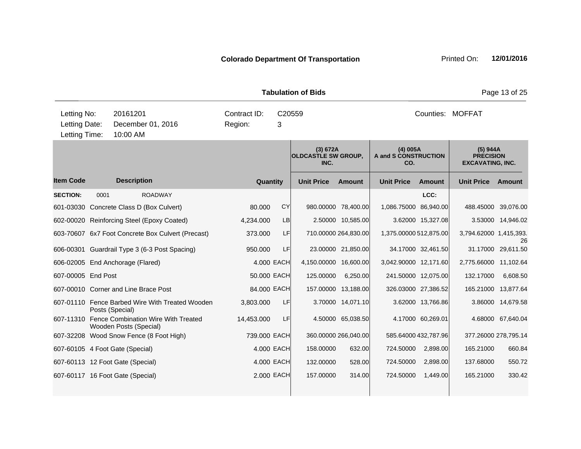|                                               |                 |                                                                         |         |              |             | <b>Tabulation of Bids</b>                      |                      |                                                |                      |                                                         | Page 13 of 25      |
|-----------------------------------------------|-----------------|-------------------------------------------------------------------------|---------|--------------|-------------|------------------------------------------------|----------------------|------------------------------------------------|----------------------|---------------------------------------------------------|--------------------|
| Letting No:<br>Letting Date:<br>Letting Time: |                 | 20161201<br>December 01, 2016<br>10:00 AM                               | Region: | Contract ID: | C20559<br>3 |                                                |                      |                                                |                      | Counties: MOFFAT                                        |                    |
|                                               |                 |                                                                         |         |              |             | (3) 672A<br><b>OLDCASTLE SW GROUP,</b><br>INC. |                      | (4) 005A<br><b>A and S CONSTRUCTION</b><br>CO. |                      | (5) 944A<br><b>PRECISION</b><br><b>EXCAVATING, INC.</b> |                    |
| <b>Item Code</b>                              |                 | <b>Description</b>                                                      |         | Quantity     |             | <b>Unit Price</b>                              | <b>Amount</b>        | <b>Unit Price</b>                              | <b>Amount</b>        | <b>Unit Price</b>                                       | Amount             |
| <b>SECTION:</b>                               | 0001            | <b>ROADWAY</b>                                                          |         |              |             |                                                |                      |                                                | LCC:                 |                                                         |                    |
|                                               |                 | 601-03030 Concrete Class D (Box Culvert)                                |         | 80.000       | <b>CY</b>   |                                                | 980.00000 78,400.00  | 1,086.75000 86,940.00                          |                      | 488.45000 39,076.00                                     |                    |
|                                               |                 | 602-00020 Reinforcing Steel (Epoxy Coated)                              |         | 4,234.000    | LB          |                                                | 2.50000 10,585.00    |                                                | 3.62000 15,327.08    |                                                         | 3.53000 14,946.02  |
|                                               |                 | 603-70607 6x7 Foot Concrete Box Culvert (Precast)                       |         | 373.000      | LF          |                                                | 710.00000 264,830.00 | 1,375.00000 512,875.00                         |                      | 3,794.62000 1,415,393.                                  | 26                 |
|                                               |                 | 606-00301 Guardrail Type 3 (6-3 Post Spacing)                           |         | 950.000      | LF          |                                                | 23.00000 21,850.00   |                                                | 34.17000 32,461.50   |                                                         | 31.17000 29,611.50 |
|                                               |                 | 606-02005 End Anchorage (Flared)                                        |         |              | 4.000 EACH  | 4,150.00000 16,600.00                          |                      | 3,042.90000 12,171.60                          |                      | 2,775.66000 11,102.64                                   |                    |
| 607-00005 End Post                            |                 |                                                                         |         | 50.000 EACH  |             | 125.00000                                      | 6,250.00             |                                                | 241.50000 12,075.00  | 132.17000                                               | 6,608.50           |
|                                               |                 | 607-00010 Corner and Line Brace Post                                    |         | 84.000 EACH  |             |                                                | 157.00000 13,188.00  |                                                | 326.03000 27,386.52  | 165.21000 13,877.64                                     |                    |
|                                               | Posts (Special) | 607-01110 Fence Barbed Wire With Treated Wooden                         |         | 3,803.000    | LF          |                                                | 3.70000 14,071.10    |                                                | 3.62000 13,766.86    |                                                         | 3.86000 14,679.58  |
|                                               |                 | 607-11310 Fence Combination Wire With Treated<br>Wooden Posts (Special) |         | 14,453.000   | LF          |                                                | 4.50000 65,038.50    |                                                | 4.17000 60,269.01    |                                                         | 4.68000 67,640.04  |
|                                               |                 | 607-32208 Wood Snow Fence (8 Foot High)                                 |         | 739.000 EACH |             |                                                | 360.00000 266,040.00 |                                                | 585.64000 432,787.96 | 377.26000 278,795.14                                    |                    |
|                                               |                 | 607-60105 4 Foot Gate (Special)                                         |         |              | 4.000 EACH  | 158.00000                                      | 632.00               | 724.50000                                      | 2,898.00             | 165.21000                                               | 660.84             |
|                                               |                 | 607-60113 12 Foot Gate (Special)                                        |         |              | 4.000 EACH  | 132.00000                                      | 528.00               | 724.50000                                      | 2,898.00             | 137.68000                                               | 550.72             |
|                                               |                 | 607-60117 16 Foot Gate (Special)                                        |         |              | 2.000 EACH  | 157.00000                                      | 314.00               | 724.50000                                      | 1,449.00             | 165.21000                                               | 330.42             |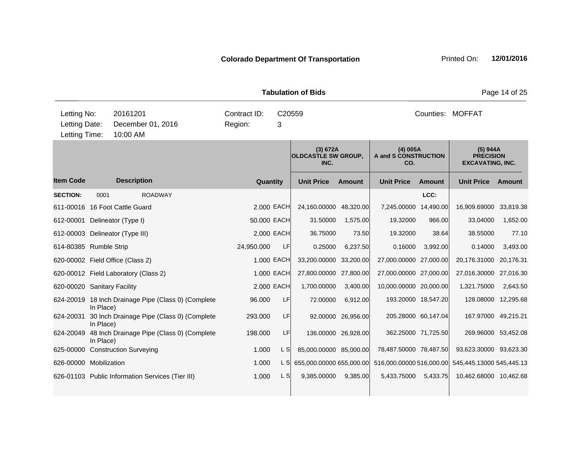|                                               |           |                                                     |                         |             | <b>Tabulation of Bids</b>                      |                     |                                           |                     |                                                         | Page 14 of 25 |
|-----------------------------------------------|-----------|-----------------------------------------------------|-------------------------|-------------|------------------------------------------------|---------------------|-------------------------------------------|---------------------|---------------------------------------------------------|---------------|
| Letting No:<br>Letting Date:<br>Letting Time: |           | 20161201<br>December 01, 2016<br>10:00 AM           | Contract ID:<br>Region: | C20559<br>3 |                                                |                     |                                           |                     | Counties: MOFFAT                                        |               |
|                                               |           |                                                     |                         |             | (3) 672A<br><b>OLDCASTLE SW GROUP.</b><br>INC. |                     | $(4)$ 005A<br>A and S CONSTRUCTION<br>CO. |                     | (5) 944A<br><b>PRECISION</b><br><b>EXCAVATING, INC.</b> |               |
| <b>Item Code</b>                              |           | <b>Description</b>                                  | <b>Quantity</b>         |             | <b>Unit Price</b>                              | <b>Amount</b>       | <b>Unit Price</b>                         | <b>Amount</b>       | <b>Unit Price</b>                                       | Amount        |
| <b>SECTION:</b>                               | 0001      | <b>ROADWAY</b>                                      |                         |             |                                                |                     |                                           | LCC:                |                                                         |               |
|                                               |           | 611-00016 16 Foot Cattle Guard                      |                         | 2.000 EACH  | 24,160.00000 48,320.00                         |                     | 7,245.00000 14,490.00                     |                     | 16,909.69000                                            | 33,819.38     |
| 612-00001 Delineator (Type I)                 |           |                                                     | 50.000 EACH             |             | 31.50000                                       | 1,575.00            | 19.32000                                  | 966.00              | 33.04000                                                | 1,652.00      |
|                                               |           | 612-00003 Delineator (Type III)                     |                         | 2,000 EACH  | 36.75000                                       | 73.50               | 19.32000                                  | 38.64               | 38.55000                                                | 77.10         |
| 614-80385 Rumble Strip                        |           |                                                     | 24,950.000              | LF          | 0.25000                                        | 6,237.50            | 0.16000                                   | 3,992.00            | 0.14000                                                 | 3,493.00      |
|                                               |           | 620-00002 Field Office (Class 2)                    |                         | 1.000 EACH  | 33,200.00000                                   | 33,200.00           | 27,000.00000                              | 27,000.00           | 20,176.31000                                            | 20,176.31     |
|                                               |           | 620-00012 Field Laboratory (Class 2)                |                         | 1.000 EACH  | 27,800.00000 27,800.00                         |                     | 27,000.00000 27,000.00                    |                     | 27,016.30000 27,016.30                                  |               |
| 620-00020 Sanitary Facility                   |           |                                                     |                         | 2.000 EACH  | 1,700.00000                                    | 3,400.00            | 10,000.00000 20,000.00                    |                     | 1,321.75000                                             | 2,643.50      |
|                                               | In Place) | 624-20019 18 Inch Drainage Pipe (Class 0) (Complete | 96.000                  | LF          | 72.00000                                       | 6,912.00            |                                           | 193.20000 18,547.20 | 128.08000 12,295.68                                     |               |
| 624-20031                                     | In Place) | 30 Inch Drainage Pipe (Class 0) (Complete           | 293.000                 | LF          |                                                | 92.00000 26,956.00  |                                           | 205.28000 60,147.04 | 167.97000 49,215.21                                     |               |
| 624-20049                                     | In Place) | 48 Inch Drainage Pipe (Class 0) (Complete           | 198.000                 | LF          |                                                | 136.00000 26,928.00 |                                           | 362.25000 71,725.50 | 269.96000 53,452.08                                     |               |
|                                               |           | 625-00000 Construction Surveying                    | 1.000                   | L SI        | 85,000.00000 85,000.00                         |                     | 78,487.50000 78,487.50                    |                     | 93,623.30000 93,623.30                                  |               |
| 626-00000 Mobilization                        |           |                                                     | 1.000                   | L SI        | 655,000.00000 655,000.00                       |                     | 516,000.00000 516,000.00                  |                     | 545,445.13000 545,445.13                                |               |
|                                               |           | 626-01103 Public Information Services (Tier III)    | 1.000                   | L S         | 9,385.00000                                    | 9,385.00            | 5,433.75000                               | 5,433.75            | 10,462.68000 10,462.68                                  |               |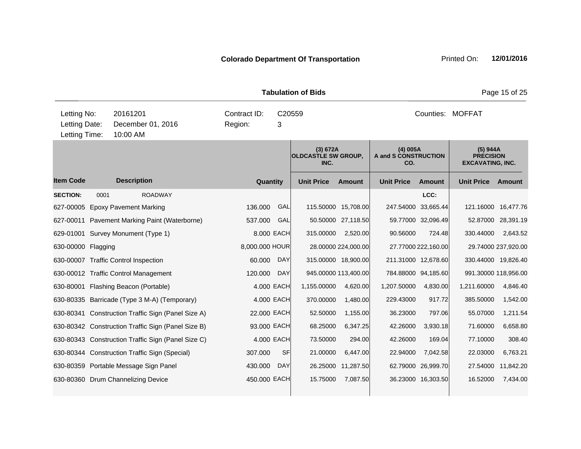|                                               |      |                                                    |                         |             | <b>Tabulation of Bids</b>                      |                      |                                           |                     |                                                         | Page 15 of 25       |
|-----------------------------------------------|------|----------------------------------------------------|-------------------------|-------------|------------------------------------------------|----------------------|-------------------------------------------|---------------------|---------------------------------------------------------|---------------------|
| Letting No:<br>Letting Date:<br>Letting Time: |      | 20161201<br>December 01, 2016<br>10:00 AM          | Contract ID:<br>Region: | C20559<br>3 |                                                |                      |                                           |                     | Counties: MOFFAT                                        |                     |
|                                               |      |                                                    |                         |             | (3) 672A<br><b>OLDCASTLE SW GROUP,</b><br>INC. |                      | $(4)$ 005A<br>A and S CONSTRUCTION<br>CO. |                     | (5) 944A<br><b>PRECISION</b><br><b>EXCAVATING, INC.</b> |                     |
| <b>Item Code</b>                              |      | <b>Description</b>                                 | Quantity                |             | <b>Unit Price</b>                              | <b>Amount</b>        | <b>Unit Price</b>                         | <b>Amount</b>       | <b>Unit Price</b>                                       | Amount              |
| <b>SECTION:</b>                               | 0001 | <b>ROADWAY</b>                                     |                         |             |                                                |                      |                                           | LCC:                |                                                         |                     |
| 627-00005                                     |      | <b>Epoxy Pavement Marking</b>                      | 136.000                 | GAL         |                                                | 115.50000 15,708.00  | 247.54000                                 | 33,665.44           | 121.16000                                               | 16,477.76           |
|                                               |      | 627-00011 Pavement Marking Paint (Waterborne)      | 537.000                 | GAL         |                                                | 50.50000 27,118.50   |                                           | 59.77000 32,096.49  |                                                         | 52.87000 28,391.19  |
|                                               |      | 629-01001 Survey Monument (Type 1)                 |                         | 8.000 EACH  | 315.00000                                      | 2,520.00             | 90.56000                                  | 724.48              | 330.44000                                               | 2,643.52            |
| 630-00000 Flagging                            |      |                                                    | 8,000.000 HOUR          |             |                                                | 28.00000 224,000.00  |                                           | 27.77000 222,160.00 |                                                         | 29.74000 237,920.00 |
|                                               |      | 630-00007 Traffic Control Inspection               | 60.000                  | <b>DAY</b>  |                                                | 315.00000 18,900.00  | 211.31000 12,678.60                       |                     | 330.44000 19,826.40                                     |                     |
|                                               |      | 630-00012 Traffic Control Management               | 120.000                 | <b>DAY</b>  |                                                | 945.00000 113,400.00 | 784.88000 94,185.60                       |                     | 991.30000 118,956.00                                    |                     |
|                                               |      | 630-80001 Flashing Beacon (Portable)               |                         | 4.000 EACH  | 1,155.00000                                    | 4,620.00             | 1,207.50000                               | 4,830.00            | 1,211.60000                                             | 4,846.40            |
|                                               |      | 630-80335 Barricade (Type 3 M-A) (Temporary)       |                         | 4.000 EACH  | 370.00000                                      | 1,480.00             | 229.43000                                 | 917.72              | 385.50000                                               | 1,542.00            |
|                                               |      | 630-80341 Construction Traffic Sign (Panel Size A) | 22.000 EACH             |             | 52.50000                                       | 1,155.00             | 36.23000                                  | 797.06              | 55.07000                                                | 1,211.54            |
|                                               |      | 630-80342 Construction Traffic Sign (Panel Size B) | 93.000 EACH             |             | 68.25000                                       | 6,347.25             | 42.26000                                  | 3,930.18            | 71.60000                                                | 6,658.80            |
|                                               |      | 630-80343 Construction Traffic Sign (Panel Size C) |                         | 4.000 EACH  | 73.50000                                       | 294.00               | 42.26000                                  | 169.04              | 77.10000                                                | 308.40              |
|                                               |      | 630-80344 Construction Traffic Sign (Special)      | 307.000                 | <b>SF</b>   | 21.00000                                       | 6,447.00             | 22.94000                                  | 7,042.58            | 22.03000                                                | 6,763.21            |
|                                               |      | 630-80359 Portable Message Sign Panel              | 430.000                 | <b>DAY</b>  | 26.25000                                       | 11,287.50            |                                           | 62.79000 26,999.70  | 27.54000                                                | 11,842.20           |
|                                               |      | 630-80360 Drum Channelizing Device                 | 450,000 EACH            |             | 15.75000                                       | 7,087.50             |                                           | 36.23000 16,303.50  | 16.52000                                                | 7,434.00            |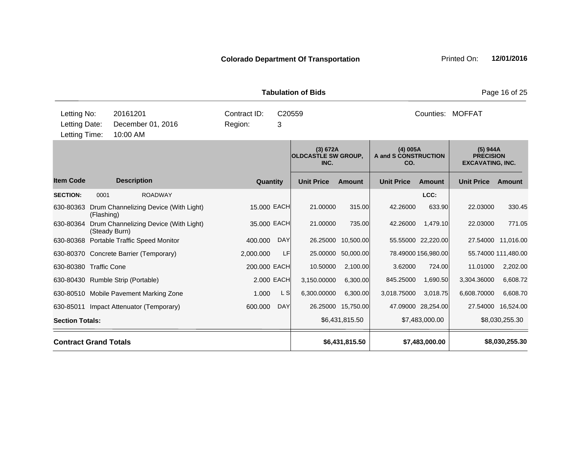**Quantity Unit Price Unit Price Item Code Amount Unit Price Amount Ext Ext Unit Price Amount Ext (3) 672A OLDCASTLE SW GROUP, INC. (4) 005A A and S CONSTRUCTION CO. (5) 944A PRECISION EXCAVATING, INC. Description SECTION:** 0001 ROADWAY **LCC:** 630-80363 Drum Channelizing Device (With Light) (Flashing) 15.000 EACH 21.00000 315.00 42.26000 633.90 22.03000 330.45 630-80364 Drum Channelizing Device (With Light) (Steady Burn) 35.000 EACH 21.00000 735.00 42.26000 1,479.10 22.03000 771.05 630-80368 Portable Traffic Speed Monitor 400.000 DAY 26.25000 10,500.00 55.55000 22,220.00 27.54000 11,016.00 630-80370 Concrete Barrier (Temporary) 2,000.000 LF 25.00000 50,000.00 78.49000 156,980.00 55.74000 111,480.00 630-80380 Traffic Cone 200.000 EACH 10.50000 2,100.00 3.62000 724.00 11.01000 2,202.00 **Tabulation of Bids** Page 16 of 25 10:00 AM Counties: MOFFAT Letting Date: December 01, 2016 Region: 3 C20559 Region: Letting Time: Letting No: 20161201 Contract ID: Counties:

630-80430 Rumble Strip (Portable) 2.000 EACH 3,150.00000 6,300.00 845.25000 1,690.50 3,304.36000 6,608.72 630-80510 Mobile Pavement Marking Zone 1.000 L S 6,300.00000 6,300.00 3,018.75000 3,018.75 6,608.70000 6,608.70 630-85011 Impact Attenuator (Temporary) 600.000 DAY 26.25000 15,750.00 47.09000 28,254.00 27.54000 16,524.00 Section Totals: \$6,431,815.50 \$7,483,000.00 \$8,030,255.30 **Contract Grand Totals \$6,431,815.50 \$7,483,000.00 \$8,030,255.30**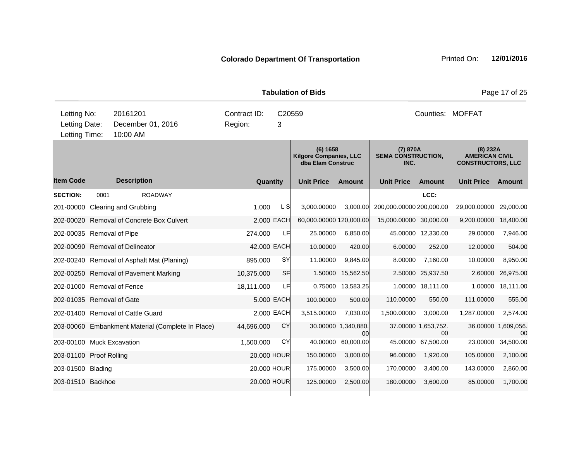|                                               |      |                                                   |                         |             | <b>Tabulation of Bids</b>                                      |                           |                                               |                           |                                                               | Page 17 of 25             |
|-----------------------------------------------|------|---------------------------------------------------|-------------------------|-------------|----------------------------------------------------------------|---------------------------|-----------------------------------------------|---------------------------|---------------------------------------------------------------|---------------------------|
| Letting No:<br>Letting Date:<br>Letting Time: |      | 20161201<br>December 01, 2016<br>10:00 AM         | Contract ID:<br>Region: | C20559<br>3 |                                                                |                           |                                               |                           | Counties: MOFFAT                                              |                           |
|                                               |      |                                                   |                         |             | (6) 1658<br><b>Kilgore Companies, LLC</b><br>dba Elam Construc |                           | (7) 870A<br><b>SEMA CONSTRUCTION,</b><br>INC. |                           | (8) 232A<br><b>AMERICAN CIVIL</b><br><b>CONSTRUCTORS, LLC</b> |                           |
| <b>Item Code</b>                              |      | <b>Description</b>                                | Quantity                |             | <b>Unit Price</b>                                              | <b>Amount</b>             | <b>Unit Price</b>                             | <b>Amount</b>             | <b>Unit Price</b>                                             | <b>Amount</b>             |
| <b>SECTION:</b>                               | 0001 | <b>ROADWAY</b>                                    |                         |             |                                                                |                           |                                               | LCC:                      |                                                               |                           |
|                                               |      | 201-00000 Clearing and Grubbing                   | 1.000                   | L S         | 3,000.00000                                                    | 3,000.00                  | 200,000.00000 200,000.00                      |                           | 29,000.00000                                                  | 29,000.00                 |
|                                               |      | 202-00020 Removal of Concrete Box Culvert         |                         | 2.000 EACH  | 60,000.00000 120,000.00                                        |                           | 15,000.00000 30,000.00                        |                           | 9,200.00000                                                   | 18,400.00                 |
| 202-00035 Removal of Pipe                     |      |                                                   | 274.000                 | LF          | 25.00000                                                       | 6,850.00                  |                                               | 45.00000 12,330.00        | 29.00000                                                      | 7,946.00                  |
|                                               |      | 202-00090 Removal of Delineator                   | 42.000 EACH             |             | 10.00000                                                       | 420.00                    | 6.00000                                       | 252.00                    | 12.00000                                                      | 504.00                    |
|                                               |      | 202-00240 Removal of Asphalt Mat (Planing)        | 895.000                 | <b>SY</b>   | 11.00000                                                       | 9,845.00                  | 8.00000                                       | 7,160.00                  | 10.00000                                                      | 8,950.00                  |
|                                               |      | 202-00250 Removal of Pavement Marking             | 10,375.000              | <b>SF</b>   |                                                                | 1.50000 15,562.50         |                                               | 2.50000 25,937.50         | 2.60000                                                       | 26,975.00                 |
| 202-01000 Removal of Fence                    |      |                                                   | 18,111.000              | LF          |                                                                | 0.75000 13,583.25         |                                               | 1.00000 18,111.00         | 1.00000                                                       | 18,111.00                 |
| 202-01035 Removal of Gate                     |      |                                                   |                         | 5.000 EACH  | 100.00000                                                      | 500.00                    | 110.00000                                     | 550.00                    | 111.00000                                                     | 555.00                    |
|                                               |      | 202-01400 Removal of Cattle Guard                 |                         | 2.000 EACH  | 3,515.00000                                                    | 7,030.00                  | 1,500.00000                                   | 3,000.00                  | 1,287.00000                                                   | 2,574.00                  |
|                                               |      | 203-00060 Embankment Material (Complete In Place) | 44,696.000              | CY          |                                                                | 30.00000 1,340,880.<br>00 |                                               | 37.00000 1,653,752.<br>00 |                                                               | 36.00000 1,609,056.<br>00 |
| 203-00100 Muck Excavation                     |      |                                                   | 1,500.000               | CY          | 40.00000                                                       | 60,000.00                 |                                               | 45.00000 67,500.00        | 23.00000                                                      | 34,500.00                 |
| 203-01100 Proof Rolling                       |      |                                                   |                         | 20.000 HOUR | 150.00000                                                      | 3,000.00                  | 96.00000                                      | 1,920.00                  | 105.00000                                                     | 2,100.00                  |
| 203-01500 Blading                             |      |                                                   |                         | 20,000 HOUR | 175.00000                                                      | 3,500.00                  | 170.00000                                     | 3,400.00                  | 143.00000                                                     | 2,860.00                  |
| 203-01510 Backhoe                             |      |                                                   |                         | 20.000 HOUR | 125.00000                                                      | 2,500.00                  | 180.00000                                     | 3,600.00                  | 85.00000                                                      | 1,700.00                  |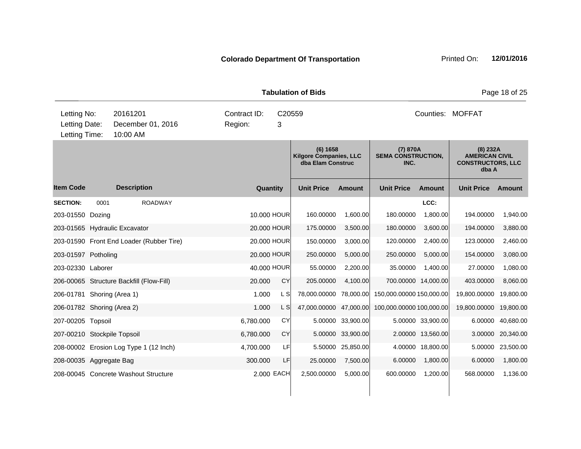|                                               |      |                                           |                         |             | <b>Tabulation of Bids</b>                                      |           |                                               |                     |                                                                          | Page 18 of 25     |
|-----------------------------------------------|------|-------------------------------------------|-------------------------|-------------|----------------------------------------------------------------|-----------|-----------------------------------------------|---------------------|--------------------------------------------------------------------------|-------------------|
| Letting No:<br>Letting Date:<br>Letting Time: |      | 20161201<br>December 01, 2016<br>10:00 AM | Contract ID:<br>Region: | 3           | C20559                                                         |           |                                               |                     | Counties: MOFFAT                                                         |                   |
|                                               |      |                                           |                         |             | (6) 1658<br><b>Kilgore Companies, LLC</b><br>dba Elam Construc |           | (7) 870A<br><b>SEMA CONSTRUCTION,</b><br>INC. |                     | $(8)$ 232A<br><b>AMERICAN CIVIL</b><br><b>CONSTRUCTORS, LLC</b><br>dba A |                   |
| <b>Item Code</b>                              |      | <b>Description</b>                        |                         | Quantity    | <b>Unit Price</b>                                              | Amount    | <b>Unit Price</b>                             | Amount              | <b>Unit Price</b>                                                        | Amount            |
| <b>SECTION:</b><br>203-01550 Dozing           | 0001 | <b>ROADWAY</b>                            |                         | 10.000 HOUR | 160.00000                                                      | 1,600.00  | 180.00000                                     | LCC:<br>1,800.00    | 194.00000                                                                | 1,940.00          |
|                                               |      | 203-01565 Hydraulic Excavator             |                         | 20.000 HOUR | 175.00000                                                      | 3,500.00  | 180.00000                                     | 3,600.00            | 194.00000                                                                | 3,880.00          |
|                                               |      | 203-01590 Front End Loader (Rubber Tire)  |                         | 20.000 HOUR | 150.00000                                                      | 3,000.00  | 120.00000                                     | 2,400.00            | 123.00000                                                                | 2,460.00          |
| 203-01597 Potholing                           |      |                                           |                         | 20.000 HOUR | 250.00000                                                      | 5,000.00  | 250.00000                                     | 5,000.00            | 154.00000                                                                | 3,080.00          |
| 203-02330 Laborer                             |      |                                           |                         | 40.000 HOUR | 55.00000                                                       | 2,200.00  | 35.00000                                      | 1,400.00            | 27.00000                                                                 | 1,080.00          |
|                                               |      | 206-00065 Structure Backfill (Flow-Fill)  | 20,000                  | CY          | 205.00000                                                      | 4.100.00  |                                               | 700.00000 14,000.00 | 403.00000                                                                | 8,060.00          |
| 206-01781 Shoring (Area 1)                    |      |                                           | 1.000                   | L S         | 78,000.00000                                                   | 78,000.00 | 150,000.00000 150,000.00                      |                     | 19,800.00000                                                             | 19,800.00         |
| 206-01782 Shoring (Area 2)                    |      |                                           | 1.000                   | L S         | 47,000.00000                                                   | 47,000.00 | 100,000.00000 100,000.00                      |                     | 19,800.00000                                                             | 19,800.00         |
| 207-00205 Topsoil                             |      |                                           | 6,780.000               | <b>CY</b>   | 5.00000                                                        | 33,900.00 |                                               | 5.00000 33,900.00   | 6.00000                                                                  | 40,680.00         |
| 207-00210 Stockpile Topsoil                   |      |                                           | 6,780.000               | CY          | 5.00000                                                        | 33,900.00 |                                               | 2.00000 13,560.00   |                                                                          | 3.00000 20,340.00 |
|                                               |      | 208-00002 Erosion Log Type 1 (12 Inch)    | 4,700.000               | LF          | 5.50000                                                        | 25,850.00 |                                               | 4.00000 18,800.00   |                                                                          | 5.00000 23,500.00 |
| 208-00035 Aggregate Bag                       |      |                                           | 300.000                 | LF          | 25.00000                                                       | 7,500.00  | 6.00000                                       | 1,800.00            | 6.00000                                                                  | 1,800.00          |
|                                               |      | 208-00045 Concrete Washout Structure      |                         | 2.000 EACH  | 2,500.00000                                                    | 5,000.00  | 600.00000                                     | 1,200.00            | 568.00000                                                                | 1,136.00          |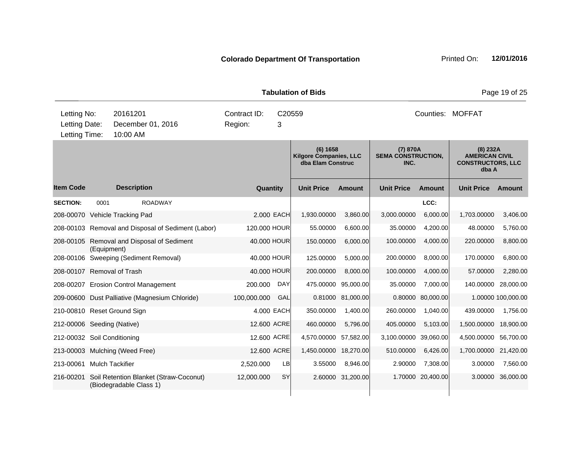|                             |                                                                             |                                                                   |  |                         |             | <b>Tabulation of Bids</b>                                      |           |                                               |           |                                                                          | Page 19 of 25      |
|-----------------------------|-----------------------------------------------------------------------------|-------------------------------------------------------------------|--|-------------------------|-------------|----------------------------------------------------------------|-----------|-----------------------------------------------|-----------|--------------------------------------------------------------------------|--------------------|
| Letting No:                 | 20161201<br>Letting Date:<br>December 01, 2016<br>Letting Time:<br>10:00 AM |                                                                   |  | Contract ID:<br>Region: | C20559<br>3 |                                                                |           |                                               |           | Counties: MOFFAT                                                         |                    |
|                             |                                                                             |                                                                   |  |                         |             | (6) 1658<br><b>Kilgore Companies, LLC</b><br>dba Elam Construc |           | (7) 870A<br><b>SEMA CONSTRUCTION,</b><br>INC. |           | $(8)$ 232A<br><b>AMERICAN CIVIL</b><br><b>CONSTRUCTORS, LLC</b><br>dba A |                    |
| <b>Item Code</b>            |                                                                             | <b>Description</b>                                                |  | <b>Quantity</b>         |             | <b>Unit Price</b>                                              | Amount    | <b>Unit Price</b>                             | Amount    | <b>Unit Price</b>                                                        | <b>Amount</b>      |
| <b>SECTION:</b>             | 0001                                                                        | <b>ROADWAY</b>                                                    |  |                         |             |                                                                |           |                                               | LCC:      |                                                                          |                    |
|                             |                                                                             | 208-00070 Vehicle Tracking Pad                                    |  |                         | 2.000 EACH  | 1,930.00000                                                    | 3,860.00  | 3,000.00000                                   | 6,000.00  | 1,703.00000                                                              | 3,406.00           |
|                             |                                                                             | 208-00103 Removal and Disposal of Sediment (Labor)                |  | 120.000 HOUR            |             | 55.00000                                                       | 6,600.00  | 35.00000                                      | 4,200.00  | 48.00000                                                                 | 5,760.00           |
|                             | (Equipment)                                                                 | 208-00105 Removal and Disposal of Sediment                        |  | 40.000 HOUR             |             | 150.00000                                                      | 6,000.00  | 100.00000                                     | 4,000.00  | 220.00000                                                                | 8,800.00           |
|                             |                                                                             | 208-00106 Sweeping (Sediment Removal)                             |  | 40.000 HOUR             |             | 125.00000                                                      | 5,000.00  | 200.00000                                     | 8,000.00  | 170.00000                                                                | 6,800.00           |
| 208-00107 Removal of Trash  |                                                                             |                                                                   |  | 40.000 HOUR             |             | 200.00000                                                      | 8,000.00  | 100.00000                                     | 4,000.00  | 57.00000                                                                 | 2,280.00           |
|                             |                                                                             | 208-00207 Erosion Control Management                              |  | 200.000                 | <b>DAY</b>  | 475.00000                                                      | 95.000.00 | 35.00000                                      | 7.000.00  | 140.00000                                                                | 28,000.00          |
|                             |                                                                             | 209-00600 Dust Palliative (Magnesium Chloride)                    |  | 100,000.000             | GAL         | 0.81000                                                        | 81,000.00 | 0.80000                                       | 80,000.00 |                                                                          | 1.00000 100,000.00 |
|                             |                                                                             | 210-00810 Reset Ground Sign                                       |  |                         | 4.000 EACH  | 350.00000                                                      | 1,400.00  | 260.00000                                     | 1,040.00  | 439.00000                                                                | 1,756.00           |
| 212-00006 Seeding (Native)  |                                                                             |                                                                   |  | 12.600 ACRE             |             | 460.00000                                                      | 5,796.00  | 405.00000                                     | 5,103.00  | 1,500.00000                                                              | 18,900.00          |
| 212-00032 Soil Conditioning |                                                                             |                                                                   |  | 12,600 ACRE             |             | 4,570.00000                                                    | 57,582.00 | 3,100.00000                                   | 39,060.00 | 4,500.00000                                                              | 56.700.00          |
|                             |                                                                             | 213-00003 Mulching (Weed Free)                                    |  | 12.600 ACRE             |             | 1,450.00000                                                    | 18,270.00 | 510.00000                                     | 6,426.00  | 1,700.00000 21,420.00                                                    |                    |
| 213-00061                   |                                                                             | <b>Mulch Tackifier</b>                                            |  | 2,520.000               | LB          | 3.55000                                                        | 8,946.00  | 2.90000                                       | 7,308.00  | 3.00000                                                                  | 7,560.00           |
| 216-00201                   |                                                                             | Soil Retention Blanket (Straw-Coconut)<br>(Biodegradable Class 1) |  | 12,000.000              | <b>SY</b>   | 2.60000                                                        | 31,200.00 | 1.70000                                       | 20,400.00 | 3.00000                                                                  | 36,000.00          |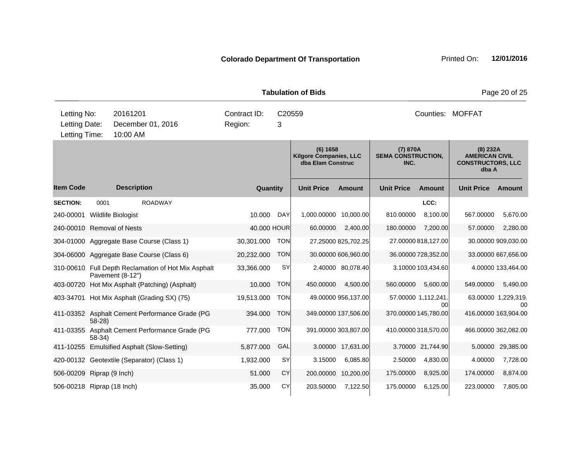|                                               |          |                                                                         |                                                    |            | <b>Tabulation of Bids</b>                          |                      |                                               |                           |                                                                          | Page 20 of 25             |
|-----------------------------------------------|----------|-------------------------------------------------------------------------|----------------------------------------------------|------------|----------------------------------------------------|----------------------|-----------------------------------------------|---------------------------|--------------------------------------------------------------------------|---------------------------|
| Letting No:<br>Letting Date:<br>Letting Time: |          | 20161201<br>December 01, 2016<br>10:00 AM                               | Contract ID:<br>C20559<br>Region:<br>3<br>(6) 1658 |            |                                                    |                      |                                               | Counties: MOFFAT          |                                                                          |                           |
|                                               |          |                                                                         |                                                    |            | <b>Kilgore Companies, LLC</b><br>dba Elam Construc |                      | (7) 870A<br><b>SEMA CONSTRUCTION,</b><br>INC. |                           | $(8)$ 232A<br><b>AMERICAN CIVIL</b><br><b>CONSTRUCTORS, LLC</b><br>dba A |                           |
| <b>Item Code</b>                              |          | <b>Description</b>                                                      | Quantity                                           |            | <b>Unit Price</b>                                  | <b>Amount</b>        | <b>Unit Price</b>                             | <b>Amount</b>             | <b>Unit Price</b>                                                        | <b>Amount</b>             |
| <b>SECTION:</b>                               | 0001     | <b>ROADWAY</b>                                                          |                                                    |            |                                                    |                      |                                               | LCC:                      |                                                                          |                           |
| 240-00001                                     |          | <b>Wildlife Biologist</b>                                               | 10.000                                             | <b>DAY</b> | 1,000.00000                                        | 10,000.00            | 810.00000                                     | 8,100.00                  | 567.00000                                                                | 5,670.00                  |
| 240-00010 Removal of Nests                    |          |                                                                         | 40.000 HOUR                                        |            | 60.00000                                           | 2,400.00             | 180.00000                                     | 7,200.00                  | 57.00000                                                                 | 2,280.00                  |
|                                               |          | 304-01000 Aggregate Base Course (Class 1)                               | 30,301.000                                         | <b>TON</b> |                                                    | 27.25000 825,702.25  |                                               | 27.00000 818,127.00       |                                                                          | 30.00000 909,030.00       |
|                                               |          | 304-06000 Aggregate Base Course (Class 6)                               | 20,232.000                                         | <b>TON</b> |                                                    | 30.00000 606,960.00  |                                               | 36.00000 728,352.00       |                                                                          | 33.00000 667,656.00       |
|                                               |          | 310-00610 Full Depth Reclamation of Hot Mix Asphalt<br>Pavement (8-12") | 33,366.000                                         | SY         |                                                    | 2.40000 80,078.40    |                                               | 3.10000 103,434.60        |                                                                          | 4.00000 133,464.00        |
| 403-00720                                     |          | Hot Mix Asphalt (Patching) (Asphalt)                                    | 10.000                                             | <b>TON</b> | 450.00000                                          | 4,500.00             | 560.00000                                     | 5,600.00                  | 549.00000                                                                | 5,490.00                  |
|                                               |          | 403-34701 Hot Mix Asphalt (Grading SX) (75)                             | 19,513.000                                         | <b>TON</b> |                                                    | 49.00000 956,137.00  |                                               | 57.00000 1,112,241.<br>00 |                                                                          | 63.00000 1,229,319.<br>00 |
|                                               | $58-28$  | 411-03352 Asphalt Cement Performance Grade (PG                          | 394.000                                            | <b>TON</b> |                                                    | 349.00000 137,506.00 |                                               | 370.00000 145,780.00      |                                                                          | 416.00000 163,904.00      |
|                                               | $58-34)$ | 411-03355 Asphalt Cement Performance Grade (PG                          | 777.000                                            | <b>TON</b> |                                                    | 391.00000 303,807.00 |                                               | 410.00000 318,570.00      |                                                                          | 466.00000 362,082.00      |
|                                               |          | 411-10255 Emulsified Asphalt (Slow-Setting)                             | 5,877.000                                          | GAL        |                                                    | 3.00000 17,631.00    |                                               | 3.70000 21,744.90         | 5.00000                                                                  | 29,385.00                 |
|                                               |          | 420-00132 Geotextile (Separator) (Class 1)                              | 1,932.000                                          | SY         | 3.15000                                            | 6,085.80             | 2.50000                                       | 4,830.00                  | 4.00000                                                                  | 7,728.00                  |
| 506-00209 Riprap (9 Inch)                     |          |                                                                         | 51.000                                             | <b>CY</b>  | 200.00000                                          | 10,200.00            | 175.00000                                     | 8,925.00                  | 174.00000                                                                | 8,874.00                  |
| 506-00218 Riprap (18 Inch)                    |          |                                                                         | 35,000                                             | CY         | 203.50000                                          | 7,122.50             | 175.00000                                     | 6,125.00                  | 223.00000                                                                | 7,805.00                  |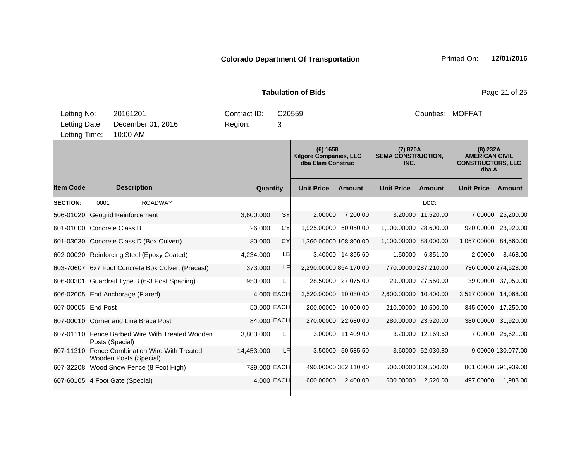|                                               |      |                                                                         |                         |             | <b>Tabulation of Bids</b>                                      |                      |                                               |                      |                                                                          | Page 21 of 25       |
|-----------------------------------------------|------|-------------------------------------------------------------------------|-------------------------|-------------|----------------------------------------------------------------|----------------------|-----------------------------------------------|----------------------|--------------------------------------------------------------------------|---------------------|
| Letting No:<br>Letting Date:<br>Letting Time: |      | 20161201<br>December 01, 2016<br>10:00 AM                               | Contract ID:<br>Region: | C20559<br>3 |                                                                |                      |                                               |                      | Counties: MOFFAT                                                         |                     |
|                                               |      |                                                                         |                         |             | (6) 1658<br><b>Kilgore Companies, LLC</b><br>dba Elam Construc |                      | (7) 870A<br><b>SEMA CONSTRUCTION,</b><br>INC. |                      | $(8)$ 232A<br><b>AMERICAN CIVIL</b><br><b>CONSTRUCTORS, LLC</b><br>dba A |                     |
| <b>Item Code</b>                              |      | <b>Description</b>                                                      | Quantity                |             | <b>Unit Price</b>                                              | <b>Amount</b>        | <b>Unit Price</b>                             | <b>Amount</b>        | <b>Unit Price</b>                                                        | Amount              |
| <b>SECTION:</b>                               | 0001 | <b>ROADWAY</b>                                                          |                         |             |                                                                |                      |                                               | LCC:                 |                                                                          |                     |
|                                               |      | 506-01020 Geogrid Reinforcement                                         | 3,600.000               | SY          | 2.00000                                                        | 7,200.00             |                                               | 3.20000 11,520.00    | 7.00000                                                                  | 25,200.00           |
| 601-01000 Concrete Class B                    |      |                                                                         | 26,000                  | CY          | 1,925.00000 50,050.00                                          |                      | 1,100.00000 28,600.00                         |                      | 920.00000                                                                | 23,920.00           |
|                                               |      | 601-03030 Concrete Class D (Box Culvert)                                | 80,000                  | <b>CY</b>   | 1,360.00000 108,800.00                                         |                      | 1,100.00000 88,000.00                         |                      | 1,057.00000 84,560.00                                                    |                     |
|                                               |      | 602-00020 Reinforcing Steel (Epoxy Coated)                              | 4,234.000               | LB          |                                                                | 3.40000 14,395.60    | 1.50000                                       | 6,351.00             | 2.00000                                                                  | 8,468.00            |
|                                               |      | 603-70607 6x7 Foot Concrete Box Culvert (Precast)                       | 373.000                 | LF          | 2,290.00000 854,170.00                                         |                      |                                               | 770.00000 287,210.00 | 736.00000 274,528.00                                                     |                     |
|                                               |      | 606-00301 Guardrail Type 3 (6-3 Post Spacing)                           | 950.000                 | LF          |                                                                | 28.50000 27,075.00   |                                               | 29.00000 27,550.00   |                                                                          | 39.00000 37,050.00  |
|                                               |      | 606-02005 End Anchorage (Flared)                                        | 4.000 EACH              |             | 2,520.00000 10,080.00                                          |                      | 2,600.00000 10,400.00                         |                      | 3,517.00000 14,068.00                                                    |                     |
| 607-00005 End Post                            |      |                                                                         | 50.000 EACH             |             |                                                                | 200.00000 10,000.00  |                                               | 210.00000 10,500.00  |                                                                          | 345.00000 17,250.00 |
|                                               |      | 607-00010 Corner and Line Brace Post                                    | 84.000 EACH             |             |                                                                | 270.00000 22,680.00  |                                               | 280.00000 23,520.00  | 380.00000 31,920.00                                                      |                     |
|                                               |      | 607-01110 Fence Barbed Wire With Treated Wooden<br>Posts (Special)      | 3,803.000               | LF          |                                                                | 3.00000 11,409.00    |                                               | 3.20000 12,169.60    |                                                                          | 7.00000 26,621.00   |
|                                               |      | 607-11310 Fence Combination Wire With Treated<br>Wooden Posts (Special) | 14,453.000              | LF          |                                                                | 3.50000 50,585.50    |                                               | 3.60000 52,030.80    |                                                                          | 9.00000 130,077.00  |
|                                               |      | 607-32208 Wood Snow Fence (8 Foot High)                                 | 739.000 EACH            |             |                                                                | 490.00000 362,110.00 |                                               | 500.00000 369,500.00 | 801.00000 591,939.00                                                     |                     |
|                                               |      | 607-60105 4 Foot Gate (Special)                                         | 4.000 EACH              |             | 600.00000                                                      | 2,400.00             | 630.00000                                     | 2,520.00             | 497.00000                                                                | 1,988.00            |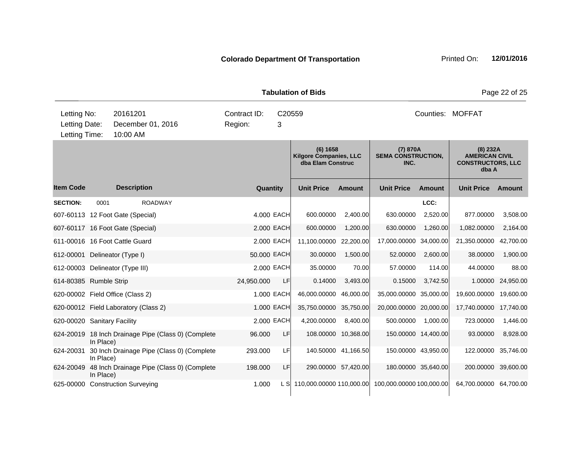|                                               |           |                                                     |                         |             | <b>Tabulation of Bids</b>                                      |                     |                                               |                     |                                                                          | Page 22 of 25     |
|-----------------------------------------------|-----------|-----------------------------------------------------|-------------------------|-------------|----------------------------------------------------------------|---------------------|-----------------------------------------------|---------------------|--------------------------------------------------------------------------|-------------------|
| Letting No:<br>Letting Date:<br>Letting Time: |           | 20161201<br>December 01, 2016<br>10:00 AM           | Contract ID:<br>Region: | C20559<br>3 |                                                                |                     |                                               | Counties: MOFFAT    |                                                                          |                   |
|                                               |           |                                                     |                         |             | (6) 1658<br><b>Kilgore Companies, LLC</b><br>dba Elam Construc |                     | (7) 870A<br><b>SEMA CONSTRUCTION,</b><br>INC. |                     | $(8)$ 232A<br><b>AMERICAN CIVIL</b><br><b>CONSTRUCTORS, LLC</b><br>dba A |                   |
| <b>Item Code</b>                              |           | <b>Description</b>                                  | Quantity                |             | <b>Unit Price</b>                                              | <b>Amount</b>       | <b>Unit Price</b>                             | <b>Amount</b>       | <b>Unit Price</b>                                                        | <b>Amount</b>     |
| <b>SECTION:</b>                               | 0001      | <b>ROADWAY</b>                                      |                         |             |                                                                |                     |                                               | LCC:                |                                                                          |                   |
|                                               |           | 607-60113 12 Foot Gate (Special)                    |                         | 4.000 EACH  | 600.00000                                                      | 2,400.00            | 630.00000                                     | 2,520.00            | 877.00000                                                                | 3,508.00          |
|                                               |           | 607-60117 16 Foot Gate (Special)                    |                         | 2.000 EACH  | 600.00000                                                      | 1,200.00            | 630.00000                                     | 1,260.00            | 1,082.00000                                                              | 2,164.00          |
|                                               |           | 611-00016 16 Foot Cattle Guard                      |                         | 2.000 EACH  | 11,100.00000 22,200.00                                         |                     | 17,000.00000 34,000.00                        |                     | 21,350.00000 42,700.00                                                   |                   |
| 612-00001 Delineator (Type I)                 |           |                                                     | 50.000 EACH             |             | 30.00000                                                       | 1,500.00            | 52.00000                                      | 2,600.00            | 38.00000                                                                 | 1,900.00          |
|                                               |           | 612-00003 Delineator (Type III)                     |                         | 2.000 EACH  | 35.00000                                                       | 70.00               | 57.00000                                      | 114.00              | 44.00000                                                                 | 88.00             |
| 614-80385 Rumble Strip                        |           |                                                     | 24,950.000              | LF          | 0.14000                                                        | 3,493.00            | 0.15000                                       | 3,742.50            |                                                                          | 1.00000 24,950.00 |
|                                               |           | 620-00002 Field Office (Class 2)                    |                         | 1.000 EACH  | 46,000.00000                                                   | 46,000.00           | 35,000.00000                                  | 35,000.00           | 19,600.00000 19,600.00                                                   |                   |
|                                               |           | 620-00012 Field Laboratory (Class 2)                |                         | 1.000 EACH  | 35,750.00000 35,750.00                                         |                     | 20,000.00000 20,000.00                        |                     | 17,740.00000 17,740.00                                                   |                   |
| 620-00020 Sanitary Facility                   |           |                                                     |                         | 2.000 EACH  | 4,200.00000                                                    | 8,400.00            | 500.00000                                     | 1,000.00            | 723.00000                                                                | 1,446.00          |
|                                               | In Place) | 624-20019 18 Inch Drainage Pipe (Class 0) (Complete | 96.000                  | LF          |                                                                | 108.00000 10,368.00 |                                               | 150.00000 14,400.00 | 93.00000                                                                 | 8,928.00          |
| 624-20031                                     | In Place) | 30 Inch Drainage Pipe (Class 0) (Complete           | 293.000                 | LF          |                                                                | 140.50000 41,166.50 |                                               | 150.00000 43,950.00 | 122.00000 35,746.00                                                      |                   |
| 624-20049                                     | In Place) | 48 Inch Drainage Pipe (Class 0) (Complete           | 198.000                 | LF          |                                                                | 290.00000 57,420.00 |                                               | 180.00000 35,640.00 | 200.00000 39,600.00                                                      |                   |
|                                               |           | 625-00000 Construction Surveying                    | 1.000                   |             | L S 110,000.00000 110,000.00                                   |                     | 100,000.00000 100,000.00                      |                     | 64,700.00000 64,700.00                                                   |                   |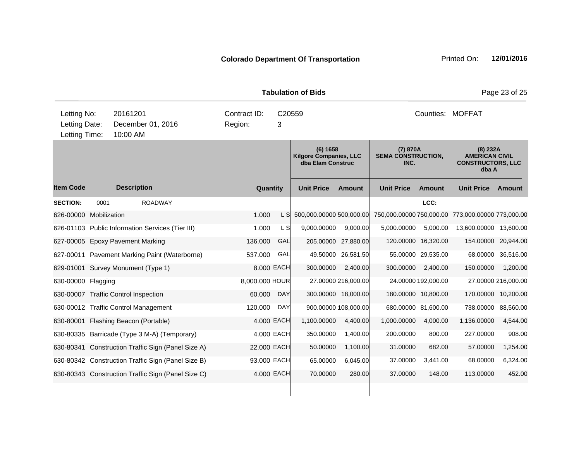|                                               |      |                            |                                                    |                         |             | <b>Tabulation of Bids</b>                                      |                      |                                               |                     |                                                                          | Page 23 of 25       |
|-----------------------------------------------|------|----------------------------|----------------------------------------------------|-------------------------|-------------|----------------------------------------------------------------|----------------------|-----------------------------------------------|---------------------|--------------------------------------------------------------------------|---------------------|
| Letting No:<br>Letting Date:<br>Letting Time: |      | 20161201<br>10:00 AM       | December 01, 2016                                  | Contract ID:<br>Region: | 3           | C20559                                                         |                      |                                               |                     | Counties: MOFFAT                                                         |                     |
|                                               |      |                            |                                                    |                         |             | (6) 1658<br><b>Kilgore Companies, LLC</b><br>dba Elam Construc |                      | (7) 870A<br><b>SEMA CONSTRUCTION,</b><br>INC. |                     | $(8)$ 232A<br><b>AMERICAN CIVIL</b><br><b>CONSTRUCTORS, LLC</b><br>dba A |                     |
| <b>Item Code</b>                              |      | <b>Description</b>         |                                                    |                         | Quantity    | <b>Unit Price</b>                                              | Amount               | <b>Unit Price</b>                             | Amount              | <b>Unit Price</b>                                                        | Amount              |
| <b>SECTION:</b>                               | 0001 |                            | <b>ROADWAY</b>                                     |                         |             |                                                                |                      |                                               | LCC:                |                                                                          |                     |
| 626-00000 Mobilization                        |      |                            |                                                    | 1.000                   | L SI        | 500,000.00000 500,000.00                                       |                      | 750,000.00000 750,000.00                      |                     | 773,000.00000 773,000.00                                                 |                     |
|                                               |      |                            | 626-01103 Public Information Services (Tier III)   | 1.000                   | L SI        | 9,000.00000                                                    | 9,000.00             | 5,000.00000                                   | 5,000.00            | 13,600.00000 13,600.00                                                   |                     |
| 627-00005 Epoxy Pavement Marking              |      |                            |                                                    | 136.000                 | GAL         |                                                                | 205.00000 27,880.00  |                                               | 120.00000 16,320.00 |                                                                          | 154.00000 20,944.00 |
|                                               |      |                            | 627-00011 Pavement Marking Paint (Waterborne)      | 537.000                 | GAL         | 49.50000                                                       | 26,581.50            |                                               | 55.00000 29,535.00  |                                                                          | 68.00000 36,516.00  |
| 629-01001 Survey Monument (Type 1)            |      |                            |                                                    |                         | 8.000 EACH  | 300.00000                                                      | 2,400.00             | 300.00000                                     | 2,400.00            | 150.00000                                                                | 1,200.00            |
| 630-00000 Flagging                            |      |                            |                                                    | 8,000.000 HOUR          |             |                                                                | 27.00000 216,000.00  |                                               | 24.00000 192,000.00 |                                                                          | 27.00000 216,000.00 |
| 630-00007 Traffic Control Inspection          |      |                            |                                                    | 60,000                  | <b>DAY</b>  |                                                                | 300.00000 18,000.00  |                                               | 180.00000 10,800.00 |                                                                          | 170.00000 10,200.00 |
| 630-00012 Traffic Control Management          |      |                            |                                                    | 120.000                 | <b>DAY</b>  |                                                                | 900.00000 108,000.00 |                                               | 680.00000 81,600.00 |                                                                          | 738.00000 88,560.00 |
| 630-80001                                     |      | Flashing Beacon (Portable) |                                                    |                         | 4.000 EACH  | 1,100.00000                                                    | 4,400.00             | 1,000.00000                                   | 4,000.00            | 1,136.00000                                                              | 4,544.00            |
|                                               |      |                            | 630-80335 Barricade (Type 3 M-A) (Temporary)       |                         | 4.000 EACH  | 350.00000                                                      | 1,400.00             | 200.00000                                     | 800.00              | 227.00000                                                                | 908.00              |
|                                               |      |                            | 630-80341 Construction Traffic Sign (Panel Size A) |                         | 22.000 EACH | 50.00000                                                       | 1,100.00             | 31.00000                                      | 682.00              | 57.00000                                                                 | 1,254.00            |
|                                               |      |                            | 630-80342 Construction Traffic Sign (Panel Size B) |                         | 93.000 EACH | 65.00000                                                       | 6,045.00             | 37.00000                                      | 3,441.00            | 68.00000                                                                 | 6,324.00            |
|                                               |      |                            | 630-80343 Construction Traffic Sign (Panel Size C) |                         | 4.000 EACH  | 70.00000                                                       | 280.00               | 37.00000                                      | 148.00              | 113.00000                                                                | 452.00              |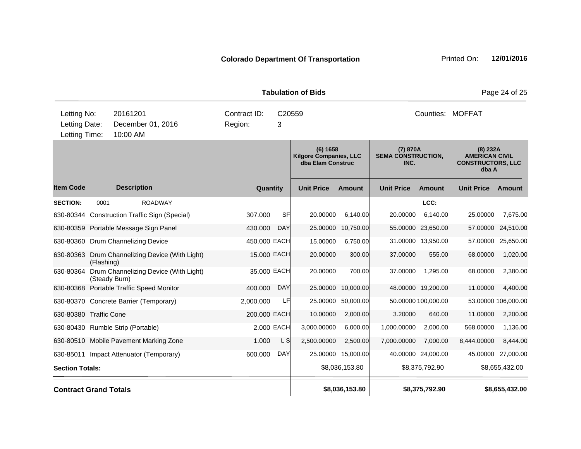|                              |            |                                                        |              |                    | <b>Tabulation of Bids</b>                                      |                |                                               |                     |                                                                          | Page 24 of 25       |
|------------------------------|------------|--------------------------------------------------------|--------------|--------------------|----------------------------------------------------------------|----------------|-----------------------------------------------|---------------------|--------------------------------------------------------------------------|---------------------|
| Letting No:                  |            | 20161201                                               | Contract ID: | C <sub>20559</sub> |                                                                |                |                                               |                     | Counties: MOFFAT                                                         |                     |
| Letting Date:                |            | December 01, 2016                                      | Region:      | 3                  |                                                                |                |                                               |                     |                                                                          |                     |
| Letting Time:                |            | 10:00 AM                                               |              |                    |                                                                |                |                                               |                     |                                                                          |                     |
|                              |            |                                                        |              |                    | (6) 1658<br><b>Kilgore Companies, LLC</b><br>dba Elam Construc |                | (7) 870A<br><b>SEMA CONSTRUCTION,</b><br>INC. |                     | $(8)$ 232A<br><b>AMERICAN CIVIL</b><br><b>CONSTRUCTORS, LLC</b><br>dba A |                     |
| <b>Item Code</b>             |            | <b>Description</b>                                     | Quantity     |                    | <b>Unit Price</b>                                              | <b>Amount</b>  | <b>Unit Price</b>                             | <b>Amount</b>       | <b>Unit Price</b>                                                        | Amount              |
| <b>SECTION:</b>              | 0001       | <b>ROADWAY</b>                                         |              |                    |                                                                |                |                                               | LCC:                |                                                                          |                     |
|                              |            | 630-80344 Construction Traffic Sign (Special)          | 307.000      | <b>SF</b>          | 20.00000                                                       | 6,140.00       | 20.00000                                      | 6,140.00            | 25.00000                                                                 | 7,675.00            |
|                              |            | 630-80359 Portable Message Sign Panel                  | 430.000      | <b>DAY</b>         | 25.00000                                                       | 10,750.00      |                                               | 55.00000 23,650.00  | 57.00000                                                                 | 24,510.00           |
|                              |            | 630-80360 Drum Channelizing Device                     | 450.000 EACH |                    | 15.00000                                                       | 6,750.00       |                                               | 31.00000 13,950.00  | 57.00000                                                                 | 25,650.00           |
|                              | (Flashing) | 630-80363 Drum Channelizing Device (With Light)        | 15.000 EACH  |                    | 20.00000                                                       | 300.00         | 37.00000                                      | 555.00              | 68.00000                                                                 | 1,020.00            |
| 630-80364                    |            | Drum Channelizing Device (With Light)<br>(Steady Burn) | 35.000 EACH  |                    | 20.00000                                                       | 700.00         | 37.00000                                      | 1,295.00            | 68.00000                                                                 | 2,380.00            |
|                              |            | 630-80368 Portable Traffic Speed Monitor               | 400.000      | <b>DAY</b>         | 25.00000                                                       | 10,000.00      |                                               | 48.00000 19,200.00  | 11.00000                                                                 | 4,400.00            |
|                              |            | 630-80370 Concrete Barrier (Temporary)                 | 2,000.000    | LF                 | 25.00000                                                       | 50,000.00      |                                               | 50.00000 100,000.00 |                                                                          | 53.00000 106,000.00 |
| 630-80380 Traffic Cone       |            |                                                        | 200.000 EACH |                    | 10.00000                                                       | 2,000.00       | 3.20000                                       | 640.00              | 11.00000                                                                 | 2,200.00            |
|                              |            | 630-80430 Rumble Strip (Portable)                      |              | 2.000 EACH         | 3,000.00000                                                    | 6,000.00       | 1,000.00000                                   | 2,000.00            | 568.00000                                                                | 1,136.00            |
|                              |            | 630-80510 Mobile Pavement Marking Zone                 | 1.000        | L <sub>S</sub>     | 2,500.00000                                                    | 2,500.00       | 7,000.00000                                   | 7.000.00            | 8,444.00000                                                              | 8,444.00            |
|                              |            | 630-85011 Impact Attenuator (Temporary)                | 600.000      | <b>DAY</b>         | 25.00000                                                       | 15,000.00      |                                               | 40.00000 24,000.00  | 45.00000                                                                 | 27,000.00           |
| <b>Section Totals:</b>       |            |                                                        |              |                    |                                                                | \$8,036,153.80 |                                               | \$8,375,792.90      |                                                                          | \$8,655,432.00      |
| <b>Contract Grand Totals</b> |            |                                                        |              |                    |                                                                | \$8,036,153.80 |                                               | \$8,375,792.90      |                                                                          | \$8,655,432.00      |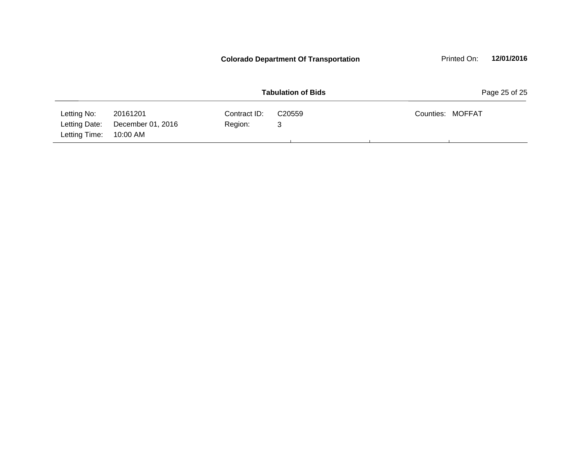|                                               |                                           |                         | <b>Colorado Department Of Transportation</b> | 12/01/2016<br>Printed On: |
|-----------------------------------------------|-------------------------------------------|-------------------------|----------------------------------------------|---------------------------|
|                                               |                                           |                         | <b>Tabulation of Bids</b>                    | Page 25 of 25             |
| Letting No:<br>Letting Date:<br>Letting Time: | 20161201<br>December 01, 2016<br>10:00 AM | Contract ID:<br>Region: | C <sub>20559</sub><br>3                      | Counties: MOFFAT          |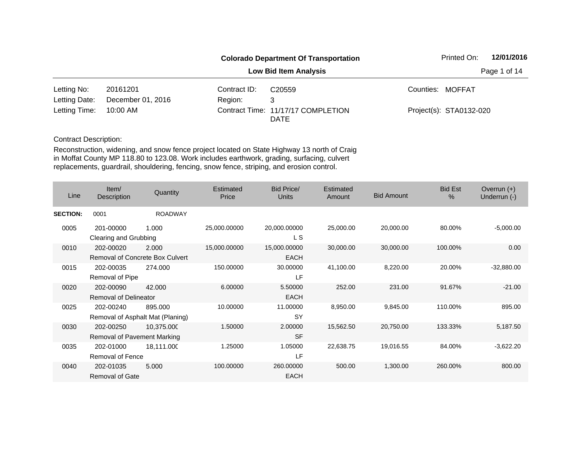|               |                   |              | <b>Colorado Department Of Transportation</b>      | Printed On:             | 12/01/2016   |
|---------------|-------------------|--------------|---------------------------------------------------|-------------------------|--------------|
|               |                   |              | <b>Low Bid Item Analysis</b>                      |                         | Page 1 of 14 |
| Letting No:   | 20161201          | Contract ID: | C <sub>20559</sub>                                | Counties: MOFFAT        |              |
| Letting Date: | December 01, 2016 | Region:      | 3                                                 |                         |              |
| Letting Time: | 10:00 AM          |              | Contract Time: 11/17/17 COMPLETION<br><b>DATE</b> | Project(s): STA0132-020 |              |

| Line            | Item/<br>Description                                | Quantity       | <b>Estimated</b><br>Price | Bid Price/<br><b>Units</b>  | Estimated<br>Amount | <b>Bid Amount</b> | <b>Bid Est</b><br>$\%$ | Overrun $(+)$<br>Underrun (-) |
|-----------------|-----------------------------------------------------|----------------|---------------------------|-----------------------------|---------------------|-------------------|------------------------|-------------------------------|
| <b>SECTION:</b> | 0001                                                | <b>ROADWAY</b> |                           |                             |                     |                   |                        |                               |
| 0005            | 201-00000<br>Clearing and Grubbing                  | 1.000          | 25,000.00000              | 20,000.00000<br>L S         | 25,000.00           | 20,000.00         | 80.00%                 | $-5,000.00$                   |
| 0010            | 202-00020<br><b>Removal of Concrete Box Culvert</b> | 2.000          | 15,000.00000              | 15,000.00000<br><b>EACH</b> | 30,000.00           | 30,000.00         | 100.00%                | 0.00                          |
| 0015            | 202-00035<br>Removal of Pipe                        | 274.000        | 150.00000                 | 30.00000<br>LF              | 41,100.00           | 8,220.00          | 20.00%                 | $-32,880.00$                  |
| 0020            | 202-00090<br>Removal of Delineator                  | 42.000         | 6.00000                   | 5.50000<br><b>EACH</b>      | 252.00              | 231.00            | 91.67%                 | $-21.00$                      |
| 0025            | 202-00240<br>Removal of Asphalt Mat (Planing)       | 895.000        | 10.00000                  | 11.00000<br><b>SY</b>       | 8,950.00            | 9,845.00          | 110.00%                | 895.00                        |
| 0030            | 202-00250<br>Removal of Pavement Marking            | 10,375.000     | 1.50000                   | 2.00000<br><b>SF</b>        | 15,562.50           | 20,750.00         | 133.33%                | 5,187.50                      |
| 0035            | 202-01000<br>Removal of Fence                       | 18,111.000     | 1.25000                   | 1.05000<br>LF               | 22,638.75           | 19,016.55         | 84.00%                 | $-3,622.20$                   |
| 0040            | 202-01035<br><b>Removal of Gate</b>                 | 5.000          | 100.00000                 | 260.00000<br><b>EACH</b>    | 500.00              | 1,300.00          | 260.00%                | 800.00                        |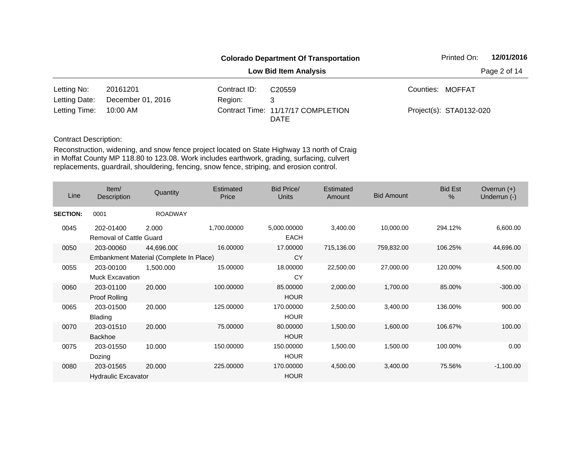|               |                   |              | <b>Colorado Department Of Transportation</b>      | Printed On:             | 12/01/2016   |
|---------------|-------------------|--------------|---------------------------------------------------|-------------------------|--------------|
|               |                   |              | <b>Low Bid Item Analysis</b>                      |                         | Page 2 of 14 |
| Letting No:   | 20161201          | Contract ID: | C <sub>20559</sub>                                | Counties: MOFFAT        |              |
| Letting Date: | December 01, 2016 | Region:      | 3                                                 |                         |              |
| Letting Time: | 10:00 AM          |              | Contract Time: 11/17/17 COMPLETION<br><b>DATE</b> | Project(s): STA0132-020 |              |

| Line            | Item/<br>Description                        | Quantity                                              | Estimated<br>Price | <b>Bid Price/</b><br>Units | Estimated<br>Amount | <b>Bid Amount</b> | <b>Bid Est</b><br>% | Overrun $(+)$<br>Underrun (-) |
|-----------------|---------------------------------------------|-------------------------------------------------------|--------------------|----------------------------|---------------------|-------------------|---------------------|-------------------------------|
| <b>SECTION:</b> | 0001                                        | <b>ROADWAY</b>                                        |                    |                            |                     |                   |                     |                               |
| 0045            | 202-01400<br><b>Removal of Cattle Guard</b> | 2.000                                                 | 1,700.00000        | 5,000.00000<br><b>EACH</b> | 3,400.00            | 10,000.00         | 294.12%             | 6,600.00                      |
| 0050            | 203-00060                                   | 44,696.000<br>Embankment Material (Complete In Place) | 16.00000           | 17.00000<br>CY             | 715,136.00          | 759,832.00        | 106.25%             | 44,696.00                     |
| 0055            | 203-00100<br><b>Muck Excavation</b>         | 1,500.000                                             | 15.00000           | 18.00000<br>СY             | 22,500.00           | 27,000.00         | 120.00%             | 4,500.00                      |
| 0060            | 203-01100<br>Proof Rolling                  | 20.000                                                | 100.00000          | 85.00000<br><b>HOUR</b>    | 2,000.00            | 1,700.00          | 85.00%              | $-300.00$                     |
| 0065            | 203-01500<br>Blading                        | 20.000                                                | 125.00000          | 170.00000<br><b>HOUR</b>   | 2,500.00            | 3,400.00          | 136.00%             | 900.00                        |
| 0070            | 203-01510<br>Backhoe                        | 20.000                                                | 75.00000           | 80.00000<br><b>HOUR</b>    | 1,500.00            | 1,600.00          | 106.67%             | 100.00                        |
| 0075            | 203-01550<br>Dozing                         | 10.000                                                | 150.00000          | 150.00000<br><b>HOUR</b>   | 1,500.00            | 1,500.00          | 100.00%             | 0.00                          |
| 0080            | 203-01565<br><b>Hydraulic Excavator</b>     | 20.000                                                | 225.00000          | 170.00000<br><b>HOUR</b>   | 4,500.00            | 3,400.00          | 75.56%              | $-1,100.00$                   |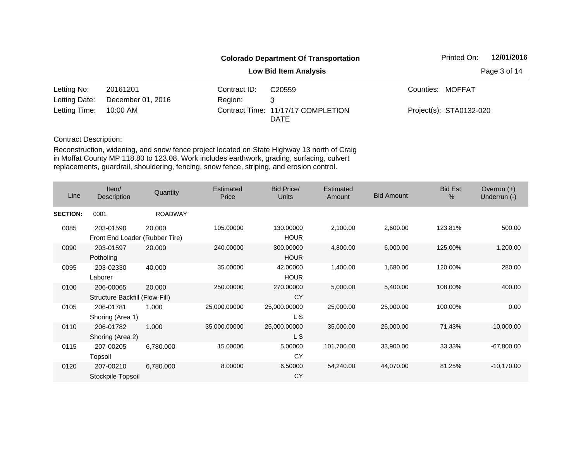|               |                   |              | <b>Colorado Department Of Transportation</b>      | Printed On:             | 12/01/2016   |
|---------------|-------------------|--------------|---------------------------------------------------|-------------------------|--------------|
|               |                   |              | <b>Low Bid Item Analysis</b>                      |                         | Page 3 of 14 |
| Letting No:   | 20161201          | Contract ID: | C <sub>20559</sub>                                | Counties: MOFFAT        |              |
| Letting Date: | December 01, 2016 | Region:      | 3                                                 |                         |              |
| Letting Time: | 10:00 AM          |              | Contract Time: 11/17/17 COMPLETION<br><b>DATE</b> | Project(s): STA0132-020 |              |

| Line            | Item/<br>Description                        | Quantity       | Estimated<br>Price | <b>Bid Price/</b><br><b>Units</b> | <b>Estimated</b><br>Amount | <b>Bid Amount</b> | <b>Bid Est</b><br>$\%$ | Overrun $(+)$<br>Underrun (-) |
|-----------------|---------------------------------------------|----------------|--------------------|-----------------------------------|----------------------------|-------------------|------------------------|-------------------------------|
| <b>SECTION:</b> | 0001                                        | <b>ROADWAY</b> |                    |                                   |                            |                   |                        |                               |
| 0085            | 203-01590<br>Front End Loader (Rubber Tire) | 20.000         | 105.00000          | 130.00000<br><b>HOUR</b>          | 2,100.00                   | 2,600.00          | 123.81%                | 500.00                        |
| 0090            | 203-01597<br>Potholing                      | 20.000         | 240.00000          | 300.00000<br><b>HOUR</b>          | 4,800.00                   | 6,000.00          | 125.00%                | 1,200.00                      |
| 0095            | 203-02330<br>Laborer                        | 40.000         | 35.00000           | 42.00000<br><b>HOUR</b>           | 1,400.00                   | 1,680.00          | 120.00%                | 280.00                        |
| 0100            | 206-00065<br>Structure Backfill (Flow-Fill) | 20.000         | 250.00000          | 270.00000<br>CY                   | 5,000.00                   | 5,400.00          | 108.00%                | 400.00                        |
| 0105            | 206-01781<br>Shoring (Area 1)               | 1.000          | 25,000.00000       | 25,000.00000<br>L S               | 25,000.00                  | 25,000.00         | 100.00%                | 0.00                          |
| 0110            | 206-01782<br>Shoring (Area 2)               | 1.000          | 35,000.00000       | 25,000.00000<br>L S               | 35,000.00                  | 25,000.00         | 71.43%                 | $-10,000.00$                  |
| 0115            | 207-00205<br>Topsoil                        | 6,780.000      | 15.00000           | 5.00000<br>CY                     | 101,700.00                 | 33,900.00         | 33.33%                 | $-67,800.00$                  |
| 0120            | 207-00210<br>Stockpile Topsoil              | 6,780.000      | 8.00000            | 6.50000<br>CY                     | 54,240.00                  | 44,070.00         | 81.25%                 | $-10,170.00$                  |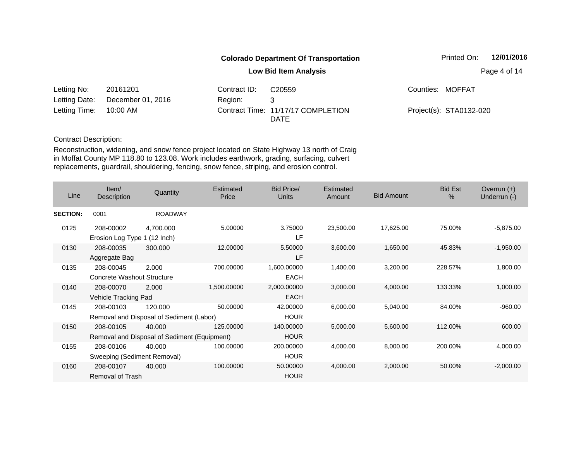|               |                   |              | <b>Colorado Department Of Transportation</b>      | Printed On:             | 12/01/2016   |
|---------------|-------------------|--------------|---------------------------------------------------|-------------------------|--------------|
|               |                   |              | <b>Low Bid Item Analysis</b>                      |                         | Page 4 of 14 |
| Letting No:   | 20161201          | Contract ID: | C <sub>20559</sub>                                | Counties: MOFFAT        |              |
| Letting Date: | December 01, 2016 | Region:      | 3                                                 |                         |              |
| Letting Time: | 10:00 AM          |              | Contract Time: 11/17/17 COMPLETION<br><b>DATE</b> | Project(s): STA0132-020 |              |

| Line            | Item/<br><b>Description</b>               | Quantity                                               | Estimated<br>Price | <b>Bid Price/</b><br><b>Units</b> | Estimated<br>Amount | <b>Bid Amount</b> | <b>Bid Est</b><br>% | Overrun $(+)$<br>Underrun (-) |
|-----------------|-------------------------------------------|--------------------------------------------------------|--------------------|-----------------------------------|---------------------|-------------------|---------------------|-------------------------------|
| <b>SECTION:</b> | 0001                                      | <b>ROADWAY</b>                                         |                    |                                   |                     |                   |                     |                               |
| 0125            | 208-00002<br>Erosion Log Type 1 (12 Inch) | 4,700.000                                              | 5.00000            | 3.75000<br>LF.                    | 23,500.00           | 17,625.00         | 75.00%              | $-5,875.00$                   |
| 0130            | 208-00035<br>Aggregate Bag                | 300.000                                                | 12.00000           | 5.50000<br>LF                     | 3,600.00            | 1,650.00          | 45.83%              | $-1,950.00$                   |
| 0135            | 208-00045<br>Concrete Washout Structure   | 2.000                                                  | 700.00000          | 1,600.00000<br><b>EACH</b>        | 1,400.00            | 3,200.00          | 228.57%             | 1,800.00                      |
| 0140            | 208-00070<br>Vehicle Tracking Pad         | 2.000                                                  | 1,500.00000        | 2,000.00000<br><b>EACH</b>        | 3,000.00            | 4,000.00          | 133.33%             | 1,000.00                      |
| 0145            | 208-00103                                 | 120.000<br>Removal and Disposal of Sediment (Labor)    | 50.00000           | 42.00000<br><b>HOUR</b>           | 6,000.00            | 5,040.00          | 84.00%              | $-960.00$                     |
| 0150            | 208-00105                                 | 40.000<br>Removal and Disposal of Sediment (Equipment) | 125.00000          | 140.00000<br><b>HOUR</b>          | 5,000.00            | 5,600.00          | 112.00%             | 600.00                        |
| 0155            | 208-00106<br>Sweeping (Sediment Removal)  | 40.000                                                 | 100.00000          | 200.00000<br><b>HOUR</b>          | 4,000.00            | 8,000.00          | 200.00%             | 4,000.00                      |
| 0160            | 208-00107<br>Removal of Trash             | 40.000                                                 | 100.00000          | 50.00000<br><b>HOUR</b>           | 4,000.00            | 2,000.00          | 50.00%              | $-2,000.00$                   |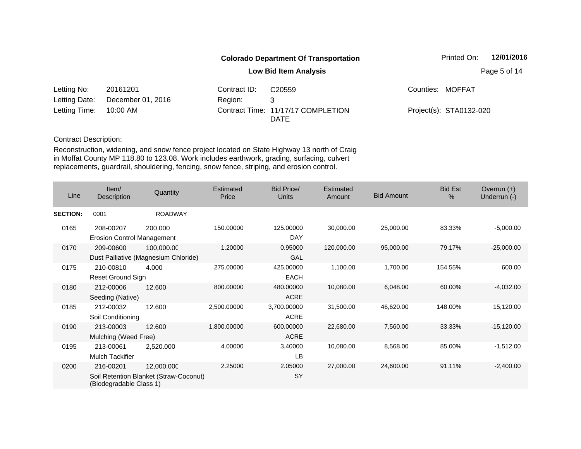|               |                   |              | <b>Colorado Department Of Transportation</b>      | Printed On:             | 12/01/2016   |
|---------------|-------------------|--------------|---------------------------------------------------|-------------------------|--------------|
|               |                   |              | <b>Low Bid Item Analysis</b>                      |                         | Page 5 of 14 |
| Letting No:   | 20161201          | Contract ID: | C <sub>20559</sub>                                | Counties: MOFFAT        |              |
| Letting Date: | December 01, 2016 | Region:      | 3                                                 |                         |              |
| Letting Time: | 10:00 AM          |              | Contract Time: 11/17/17 COMPLETION<br><b>DATE</b> | Project(s): STA0132-020 |              |

| Line            | Item/<br><b>Description</b>                    | Quantity                                             | Estimated<br>Price | Bid Price/<br><b>Units</b> | Estimated<br>Amount | <b>Bid Amount</b> | <b>Bid Est</b><br>% | Overrun $(+)$<br>Underrun (-) |
|-----------------|------------------------------------------------|------------------------------------------------------|--------------------|----------------------------|---------------------|-------------------|---------------------|-------------------------------|
| <b>SECTION:</b> | 0001                                           | <b>ROADWAY</b>                                       |                    |                            |                     |                   |                     |                               |
| 0165            | 208-00207<br><b>Erosion Control Management</b> | 200,000                                              | 150.00000          | 125,00000<br><b>DAY</b>    | 30,000.00           | 25,000.00         | 83.33%              | $-5,000.00$                   |
| 0170            | 209-00600                                      | 100,000.00<br>Dust Palliative (Magnesium Chloride)   | 1.20000            | 0.95000<br>GAL             | 120,000.00          | 95,000.00         | 79.17%              | $-25,000.00$                  |
| 0175            | 210-00810<br><b>Reset Ground Sign</b>          | 4.000                                                | 275.00000          | 425.00000<br><b>EACH</b>   | 1,100.00            | 1,700.00          | 154.55%             | 600.00                        |
| 0180            | 212-00006<br>Seeding (Native)                  | 12.600                                               | 800.00000          | 480.00000<br><b>ACRE</b>   | 10,080.00           | 6,048.00          | 60.00%              | $-4,032.00$                   |
| 0185            | 212-00032<br>Soil Conditioning                 | 12.600                                               | 2,500.00000        | 3,700.00000<br><b>ACRE</b> | 31,500.00           | 46,620.00         | 148.00%             | 15,120.00                     |
| 0190            | 213-00003<br>Mulching (Weed Free)              | 12.600                                               | 1,800.00000        | 600.00000<br><b>ACRE</b>   | 22,680.00           | 7,560.00          | 33.33%              | $-15,120.00$                  |
| 0195            | 213-00061<br><b>Mulch Tackifier</b>            | 2,520.000                                            | 4.00000            | 3.40000<br>LB              | 10,080.00           | 8,568.00          | 85.00%              | $-1,512.00$                   |
| 0200            | 216-00201<br>(Biodegradable Class 1)           | 12,000.000<br>Soil Retention Blanket (Straw-Coconut) | 2.25000            | 2.05000<br>SY              | 27,000.00           | 24,600.00         | 91.11%              | $-2,400.00$                   |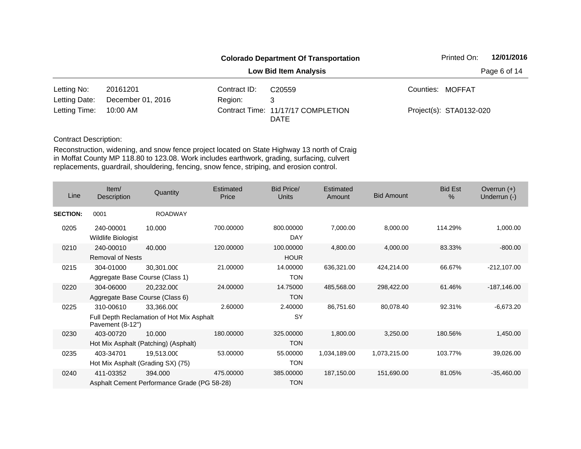|               |                   |              | <b>Colorado Department Of Transportation</b>      | Printed On:             | 12/01/2016   |
|---------------|-------------------|--------------|---------------------------------------------------|-------------------------|--------------|
|               |                   |              | <b>Low Bid Item Analysis</b>                      |                         | Page 6 of 14 |
| Letting No:   | 20161201          | Contract ID: | C <sub>20559</sub>                                | Counties: MOFFAT        |              |
| Letting Date: | December 01, 2016 | Region:      | 3                                                 |                         |              |
| Letting Time: | 10:00 AM          |              | Contract Time: 11/17/17 COMPLETION<br><b>DATE</b> | Project(s): STA0132-020 |              |

| Line            | Item/<br>Description                   | Quantity                                                | Estimated<br>Price | Bid Price/<br>Units      | Estimated<br>Amount | <b>Bid Amount</b> | <b>Bid Est</b><br>$\frac{0}{0}$ | Overrun $(+)$<br>Underrun (-) |
|-----------------|----------------------------------------|---------------------------------------------------------|--------------------|--------------------------|---------------------|-------------------|---------------------------------|-------------------------------|
| <b>SECTION:</b> | 0001                                   | <b>ROADWAY</b>                                          |                    |                          |                     |                   |                                 |                               |
| 0205            | 240-00001<br><b>Wildlife Biologist</b> | 10.000                                                  | 700.00000          | 800,00000<br><b>DAY</b>  | 7,000.00            | 8,000.00          | 114.29%                         | 1,000.00                      |
| 0210            | 240-00010<br><b>Removal of Nests</b>   | 40.000                                                  | 120.00000          | 100.00000<br><b>HOUR</b> | 4,800.00            | 4,000.00          | 83.33%                          | $-800.00$                     |
| 0215            | 304-01000                              | 30,301.000<br>Aggregate Base Course (Class 1)           | 21.00000           | 14.00000<br><b>TON</b>   | 636,321.00          | 424,214.00        | 66.67%                          | $-212,107.00$                 |
| 0220            | 304-06000                              | 20,232.000<br>Aggregate Base Course (Class 6)           | 24.00000           | 14.75000<br><b>TON</b>   | 485,568.00          | 298,422.00        | 61.46%                          | $-187,146.00$                 |
| 0225            | 310-00610<br>Pavement (8-12")          | 33,366.000<br>Full Depth Reclamation of Hot Mix Asphalt | 2.60000            | 2.40000<br>SY            | 86,751.60           | 80,078.40         | 92.31%                          | $-6,673.20$                   |
| 0230            | 403-00720                              | 10.000<br>Hot Mix Asphalt (Patching) (Asphalt)          | 180.00000          | 325.00000<br><b>TON</b>  | 1,800.00            | 3,250.00          | 180.56%                         | 1,450.00                      |
| 0235            | 403-34701                              | 19,513.000<br>Hot Mix Asphalt (Grading SX) (75)         | 53.00000           | 55.00000<br><b>TON</b>   | 1,034,189.00        | 1,073,215.00      | 103.77%                         | 39,026.00                     |
| 0240            | 411-03352                              | 394.000<br>Asphalt Cement Performance Grade (PG 58-28)  | 475.00000          | 385.00000<br><b>TON</b>  | 187,150.00          | 151,690.00        | 81.05%                          | $-35,460.00$                  |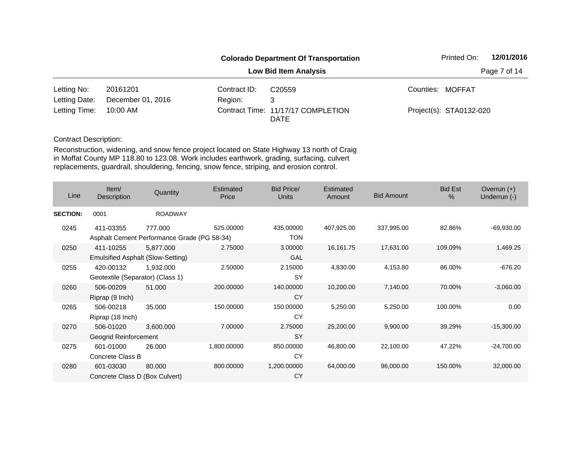|               |                   |              | <b>Colorado Department Of Transportation</b>      | Printed On:             | 12/01/2016   |
|---------------|-------------------|--------------|---------------------------------------------------|-------------------------|--------------|
|               |                   |              | <b>Low Bid Item Analysis</b>                      |                         | Page 7 of 14 |
| Letting No:   | 20161201          | Contract ID: | C <sub>20559</sub>                                | Counties: MOFFAT        |              |
| Letting Date: | December 01, 2016 | Region:      | 3                                                 |                         |              |
| Letting Time: | 10:00 AM          |              | Contract Time: 11/17/17 COMPLETION<br><b>DATE</b> | Project(s): STA0132-020 |              |

| Line            | Item/<br><b>Description</b>                    | Quantity                                               | Estimated<br>Price | <b>Bid Price/</b><br>Units | Estimated<br>Amount | <b>Bid Amount</b> | <b>Bid Est</b><br>% | Overrun $(+)$<br>Underrun (-) |
|-----------------|------------------------------------------------|--------------------------------------------------------|--------------------|----------------------------|---------------------|-------------------|---------------------|-------------------------------|
| <b>SECTION:</b> | 0001                                           | <b>ROADWAY</b>                                         |                    |                            |                     |                   |                     |                               |
| 0245            | 411-03355                                      | 777.000<br>Asphalt Cement Performance Grade (PG 58-34) | 525.00000          | 435.00000<br><b>TON</b>    | 407,925.00          | 337,995.00        | 82.86%              | $-69,930.00$                  |
| 0250            | 411-10255<br>Emulsified Asphalt (Slow-Setting) | 5,877.000                                              | 2.75000            | 3.00000<br><b>GAL</b>      | 16,161.75           | 17,631.00         | 109.09%             | 1,469.25                      |
| 0255            | 420-00132<br>Geotextile (Separator) (Class 1)  | 1,932.000                                              | 2.50000            | 2.15000<br><b>SY</b>       | 4,830.00            | 4,153.80          | 86.00%              | $-676.20$                     |
| 0260            | 506-00209<br>Riprap (9 Inch)                   | 51.000                                                 | 200.00000          | 140.00000<br>CY            | 10,200.00           | 7,140.00          | 70.00%              | $-3,060.00$                   |
| 0265            | 506-00218<br>Riprap (18 Inch)                  | 35.000                                                 | 150.00000          | 150.00000<br>CY            | 5,250.00            | 5,250.00          | 100.00%             | 0.00                          |
| 0270            | 506-01020<br>Geogrid Reinforcement             | 3,600.000                                              | 7.00000            | 2.75000<br><b>SY</b>       | 25,200.00           | 9,900.00          | 39.29%              | $-15,300.00$                  |
| 0275            | 601-01000<br>Concrete Class B                  | 26,000                                                 | 1,800.00000        | 850.00000<br>CY            | 46,800.00           | 22,100.00         | 47.22%              | $-24,700.00$                  |
| 0280            | 601-03030<br>Concrete Class D (Box Culvert)    | 80.000                                                 | 800.00000          | 1,200.00000<br>CY          | 64,000.00           | 96,000.00         | 150.00%             | 32,000.00                     |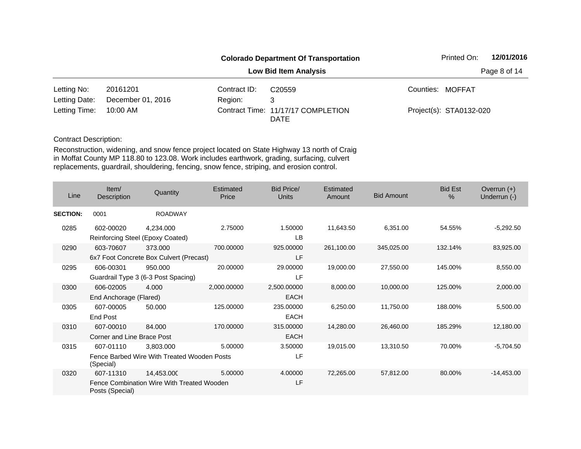|               |                   |              | <b>Colorado Department Of Transportation</b>      | Printed On:             | 12/01/2016   |
|---------------|-------------------|--------------|---------------------------------------------------|-------------------------|--------------|
|               |                   |              | <b>Low Bid Item Analysis</b>                      |                         | Page 8 of 14 |
| Letting No:   | 20161201          | Contract ID: | C <sub>20559</sub>                                | Counties: MOFFAT        |              |
| Letting Date: | December 01, 2016 | Region:      | 3                                                 |                         |              |
| Letting Time: | 10:00 AM          |              | Contract Time: 11/17/17 COMPLETION<br><b>DATE</b> | Project(s): STA0132-020 |              |

| Line            | Item/<br>Description                    | Quantity                                                 | Estimated<br>Price | <b>Bid Price/</b><br><b>Units</b> | Estimated<br>Amount | <b>Bid Amount</b> | <b>Bid Est</b><br>$\%$ | Overrun $(+)$<br>Underrun (-) |
|-----------------|-----------------------------------------|----------------------------------------------------------|--------------------|-----------------------------------|---------------------|-------------------|------------------------|-------------------------------|
| <b>SECTION:</b> | 0001                                    | <b>ROADWAY</b>                                           |                    |                                   |                     |                   |                        |                               |
| 0285            | 602-00020                               | 4,234.000<br>Reinforcing Steel (Epoxy Coated)            | 2.75000            | 1.50000<br><b>LB</b>              | 11,643.50           | 6,351.00          | 54.55%                 | $-5,292.50$                   |
| 0290            | 603-70607                               | 373.000<br>6x7 Foot Concrete Box Culvert (Precast)       | 700.00000          | 925.00000<br>LF                   | 261,100.00          | 345,025.00        | 132.14%                | 83,925.00                     |
| 0295            | 606-00301                               | 950.000<br>Guardrail Type 3 (6-3 Post Spacing)           | 20.00000           | 29.00000<br>LF                    | 19,000.00           | 27,550.00         | 145.00%                | 8,550.00                      |
| 0300            | 606-02005<br>End Anchorage (Flared)     | 4.000                                                    | 2,000.00000        | 2,500.00000<br><b>EACH</b>        | 8,000.00            | 10,000.00         | 125.00%                | 2,000.00                      |
| 0305            | 607-00005<br>End Post                   | 50.000                                                   | 125.00000          | 235.00000<br>EACH                 | 6,250.00            | 11,750.00         | 188.00%                | 5,500.00                      |
| 0310            | 607-00010<br>Corner and Line Brace Post | 84.000                                                   | 170,00000          | 315,00000<br>EACH                 | 14,280.00           | 26,460.00         | 185.29%                | 12,180.00                     |
| 0315            | 607-01110<br>(Special)                  | 3,803.000<br>Fence Barbed Wire With Treated Wooden Posts | 5.00000            | 3.50000<br>LF                     | 19,015.00           | 13,310.50         | 70.00%                 | $-5,704.50$                   |
| 0320            | 607-11310<br>Posts (Special)            | 14,453.000<br>Fence Combination Wire With Treated Wooden | 5.00000            | 4.00000<br>LF                     | 72,265.00           | 57,812.00         | 80.00%                 | $-14,453.00$                  |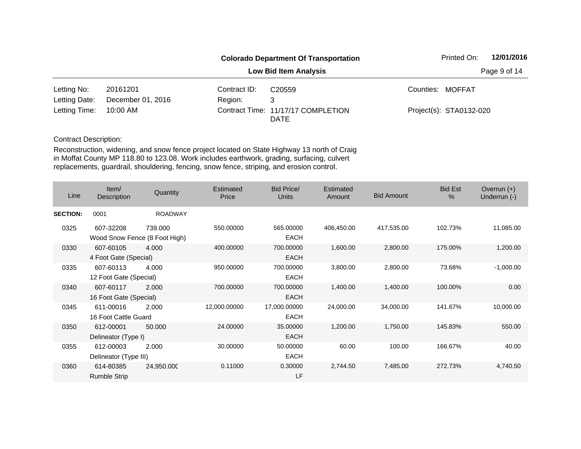|               |                   |              | <b>Colorado Department Of Transportation</b>      | Printed On:             | 12/01/2016   |
|---------------|-------------------|--------------|---------------------------------------------------|-------------------------|--------------|
|               |                   |              | <b>Low Bid Item Analysis</b>                      |                         | Page 9 of 14 |
| Letting No:   | 20161201          | Contract ID: | C <sub>20559</sub>                                | Counties: MOFFAT        |              |
| Letting Date: | December 01, 2016 | Region:      | 3                                                 |                         |              |
| Letting Time: | 10:00 AM          |              | Contract Time: 11/17/17 COMPLETION<br><b>DATE</b> | Project(s): STA0132-020 |              |

| Line            | Item/<br><b>Description</b>                | Quantity       | Estimated<br>Price | <b>Bid Price/</b><br><b>Units</b> | Estimated<br>Amount | <b>Bid Amount</b> | <b>Bid Est</b><br>% | Overrun $(+)$<br>Underrun (-) |
|-----------------|--------------------------------------------|----------------|--------------------|-----------------------------------|---------------------|-------------------|---------------------|-------------------------------|
| <b>SECTION:</b> | 0001                                       | <b>ROADWAY</b> |                    |                                   |                     |                   |                     |                               |
| 0325            | 607-32208<br>Wood Snow Fence (8 Foot High) | 739.000        | 550.00000          | 565.00000<br><b>EACH</b>          | 406,450.00          | 417,535.00        | 102.73%             | 11,085.00                     |
| 0330            | 607-60105<br>4 Foot Gate (Special)         | 4.000          | 400.00000          | 700.00000<br><b>EACH</b>          | 1,600.00            | 2,800.00          | 175.00%             | 1,200.00                      |
| 0335            | 607-60113<br>12 Foot Gate (Special)        | 4.000          | 950.00000          | 700.00000<br><b>EACH</b>          | 3,800.00            | 2,800.00          | 73.68%              | $-1,000.00$                   |
| 0340            | 607-60117<br>16 Foot Gate (Special)        | 2.000          | 700.00000          | 700.00000<br>EACH                 | 1,400.00            | 1,400.00          | 100.00%             | 0.00                          |
| 0345            | 611-00016<br>16 Foot Cattle Guard          | 2.000          | 12,000.00000       | 17,000.00000<br><b>EACH</b>       | 24,000.00           | 34,000.00         | 141.67%             | 10,000.00                     |
| 0350            | 612-00001<br>Delineator (Type I)           | 50.000         | 24.00000           | 35.00000<br><b>EACH</b>           | 1,200.00            | 1,750.00          | 145.83%             | 550.00                        |
| 0355            | 612-00003<br>Delineator (Type III)         | 2.000          | 30.00000           | 50.00000<br><b>EACH</b>           | 60.00               | 100.00            | 166.67%             | 40.00                         |
| 0360            | 614-80385<br><b>Rumble Strip</b>           | 24,950.000     | 0.11000            | 0.30000<br>LF                     | 2,744.50            | 7,485.00          | 272.73%             | 4,740.50                      |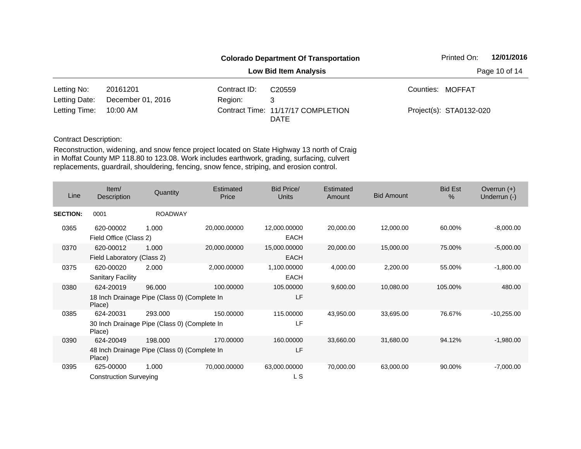|               |                   |              | <b>Colorado Department Of Transportation</b>      | Printed On:             | 12/01/2016    |
|---------------|-------------------|--------------|---------------------------------------------------|-------------------------|---------------|
|               |                   |              | <b>Low Bid Item Analysis</b>                      |                         | Page 10 of 14 |
| Letting No:   | 20161201          | Contract ID: | C <sub>20559</sub>                                | Counties: MOFFAT        |               |
| Letting Date: | December 01, 2016 | Region:      | 3                                                 |                         |               |
| Letting Time: | 10:00 AM          |              | Contract Time: 11/17/17 COMPLETION<br><b>DATE</b> | Project(s): STA0132-020 |               |

| Line            | Item/<br>Description                                                | Quantity       | Estimated<br>Price | Bid Price/<br><b>Units</b>  | Estimated<br>Amount | <b>Bid Amount</b> | <b>Bid Est</b><br>$\frac{0}{0}$ | Overrun $(+)$<br>Underrun (-) |
|-----------------|---------------------------------------------------------------------|----------------|--------------------|-----------------------------|---------------------|-------------------|---------------------------------|-------------------------------|
| <b>SECTION:</b> | 0001                                                                | <b>ROADWAY</b> |                    |                             |                     |                   |                                 |                               |
| 0365            | 620-00002<br>Field Office (Class 2)                                 | 1.000          | 20,000.00000       | 12,000.00000<br><b>EACH</b> | 20,000.00           | 12,000.00         | 60.00%                          | $-8,000.00$                   |
| 0370            | 620-00012<br>Field Laboratory (Class 2)                             | 1.000          | 20,000.00000       | 15,000.00000<br><b>EACH</b> | 20,000.00           | 15,000.00         | 75.00%                          | $-5,000.00$                   |
| 0375            | 620-00020<br><b>Sanitary Facility</b>                               | 2.000          | 2,000.00000        | 1,100.00000<br><b>EACH</b>  | 4,000.00            | 2,200.00          | 55.00%                          | $-1,800.00$                   |
| 0380            | 624-20019<br>18 Inch Drainage Pipe (Class 0) (Complete In<br>Place) | 96.000         | 100.00000          | 105.00000<br>LF             | 9,600.00            | 10,080.00         | 105.00%                         | 480.00                        |
| 0385            | 624-20031<br>30 Inch Drainage Pipe (Class 0) (Complete In<br>Place) | 293,000        | 150.00000          | 115.00000<br>LF             | 43,950.00           | 33,695.00         | 76.67%                          | $-10,255.00$                  |
| 0390            | 624-20049<br>48 Inch Drainage Pipe (Class 0) (Complete In<br>Place) | 198,000        | 170.00000          | 160.00000<br>LF             | 33,660.00           | 31,680.00         | 94.12%                          | $-1,980.00$                   |
| 0395            | 625-00000<br><b>Construction Surveying</b>                          | 1.000          | 70,000.00000       | 63,000.00000<br>L S         | 70,000.00           | 63,000.00         | 90.00%                          | $-7,000.00$                   |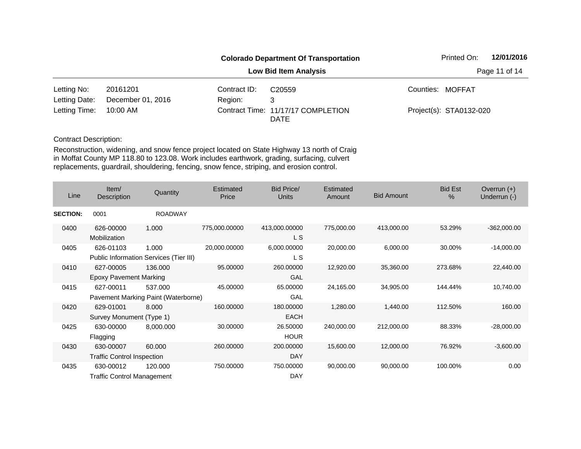|               |                   |              | <b>Colorado Department Of Transportation</b> | Printed On:             | 12/01/2016    |
|---------------|-------------------|--------------|----------------------------------------------|-------------------------|---------------|
|               |                   |              | <b>Low Bid Item Analysis</b>                 |                         | Page 11 of 14 |
| Letting No:   | 20161201          | Contract ID: | C <sub>20559</sub>                           | Counties: MOFFAT        |               |
| Letting Date: | December 01, 2016 | Region:      | 3                                            |                         |               |
| Letting Time: | 10:00 AM          |              | Contract Time: 11/17/17 COMPLETION<br>DATE   | Project(s): STA0132-020 |               |

| Line            | Item/<br>Description                           | Quantity                                        | Estimated<br>Price | <b>Bid Price/</b><br>Units | Estimated<br>Amount | <b>Bid Amount</b> | <b>Bid Est</b><br>% | Overrun $(+)$<br>Underrun (-) |
|-----------------|------------------------------------------------|-------------------------------------------------|--------------------|----------------------------|---------------------|-------------------|---------------------|-------------------------------|
| <b>SECTION:</b> | 0001                                           | <b>ROADWAY</b>                                  |                    |                            |                     |                   |                     |                               |
| 0400            | 626-00000<br>Mobilization                      | 1.000                                           | 775,000.00000      | 413,000.00000<br>L S       | 775,000.00          | 413,000.00        | 53.29%              | $-362,000.00$                 |
| 0405            | 626-01103                                      | 1.000<br>Public Information Services (Tier III) | 20,000.00000       | 6,000.00000<br>L S         | 20,000.00           | 6,000.00          | 30.00%              | $-14,000.00$                  |
| 0410            | 627-00005<br><b>Epoxy Pavement Marking</b>     | 136,000                                         | 95.00000           | 260.00000<br>GAL           | 12,920.00           | 35,360.00         | 273.68%             | 22,440.00                     |
| 0415            | 627-00011                                      | 537.000<br>Pavement Marking Paint (Waterborne)  | 45.00000           | 65.00000<br>GAL            | 24,165.00           | 34,905.00         | 144.44%             | 10,740.00                     |
| 0420            | 629-01001<br>Survey Monument (Type 1)          | 8.000                                           | 160.00000          | 180.00000<br><b>EACH</b>   | 1,280.00            | 1,440.00          | 112.50%             | 160.00                        |
| 0425            | 630-00000<br>Flagging                          | 8,000.000                                       | 30.00000           | 26.50000<br><b>HOUR</b>    | 240,000.00          | 212,000.00        | 88.33%              | $-28,000.00$                  |
| 0430            | 630-00007<br><b>Traffic Control Inspection</b> | 60.000                                          | 260.00000          | 200.00000<br><b>DAY</b>    | 15,600.00           | 12,000.00         | 76.92%              | $-3,600.00$                   |
| 0435            | 630-00012<br><b>Traffic Control Management</b> | 120.000                                         | 750.00000          | 750.00000<br>DAY           | 90,000.00           | 90,000.00         | 100.00%             | 0.00                          |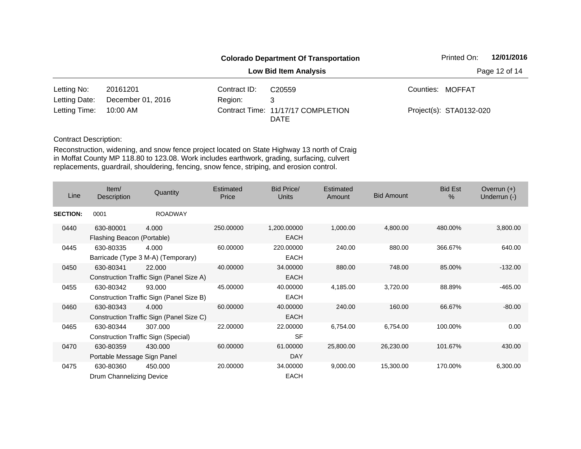|               | <b>Colorado Department Of Transportation</b> |              |                                                   |  | 12/01/2016<br>Printed On: |  |  |  |
|---------------|----------------------------------------------|--------------|---------------------------------------------------|--|---------------------------|--|--|--|
|               |                                              |              | <b>Low Bid Item Analysis</b>                      |  | Page 12 of 14             |  |  |  |
| Letting No:   | 20161201                                     | Contract ID: | C <sub>20559</sub>                                |  | Counties: MOFFAT          |  |  |  |
| Letting Date: | December 01, 2016                            | Region:      | 3                                                 |  |                           |  |  |  |
| Letting Time: | 10:00 AM                                     |              | Contract Time: 11/17/17 COMPLETION<br><b>DATE</b> |  | Project(s): STA0132-020   |  |  |  |

| Line            | Item/<br><b>Description</b>              | Quantity                                           | <b>Estimated</b><br>Price | Bid Price/<br><b>Units</b> | Estimated<br>Amount | <b>Bid Amount</b> | <b>Bid Est</b><br>$\%$ | Overrun $(+)$<br>Underrun (-) |
|-----------------|------------------------------------------|----------------------------------------------------|---------------------------|----------------------------|---------------------|-------------------|------------------------|-------------------------------|
| <b>SECTION:</b> | 0001                                     | <b>ROADWAY</b>                                     |                           |                            |                     |                   |                        |                               |
| 0440            | 630-80001<br>Flashing Beacon (Portable)  | 4.000                                              | 250.00000                 | 1,200.00000<br><b>EACH</b> | 1,000.00            | 4,800.00          | 480.00%                | 3,800.00                      |
| 0445            | 630-80335                                | 4.000<br>Barricade (Type 3 M-A) (Temporary)        | 60.00000                  | 220.00000<br><b>EACH</b>   | 240.00              | 880.00            | 366.67%                | 640.00                        |
| 0450            | 630-80341                                | 22,000<br>Construction Traffic Sign (Panel Size A) | 40.00000                  | 34.00000<br><b>EACH</b>    | 880.00              | 748.00            | 85.00%                 | $-132.00$                     |
| 0455            | 630-80342                                | 93.000<br>Construction Traffic Sign (Panel Size B) | 45.00000                  | 40.00000<br><b>EACH</b>    | 4,185.00            | 3,720.00          | 88.89%                 | $-465.00$                     |
| 0460            | 630-80343                                | 4.000<br>Construction Traffic Sign (Panel Size C)  | 60.00000                  | 40.00000<br><b>EACH</b>    | 240.00              | 160.00            | 66.67%                 | $-80.00$                      |
| 0465            | 630-80344                                | 307.000<br>Construction Traffic Sign (Special)     | 22.00000                  | 22.00000<br><b>SF</b>      | 6,754.00            | 6,754.00          | 100.00%                | 0.00                          |
| 0470            | 630-80359<br>Portable Message Sign Panel | 430.000                                            | 60.00000                  | 61.00000<br><b>DAY</b>     | 25,800.00           | 26,230.00         | 101.67%                | 430.00                        |
| 0475            | 630-80360<br>Drum Channelizing Device    | 450.000                                            | 20.00000                  | 34.00000<br><b>EACH</b>    | 9,000.00            | 15,300.00         | 170.00%                | 6,300.00                      |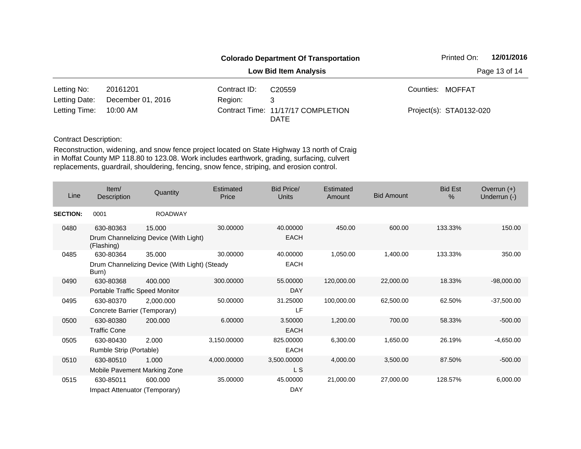|               | <b>Colorado Department Of Transportation</b> |                              |                                                   |  |                         | 12/01/2016 |
|---------------|----------------------------------------------|------------------------------|---------------------------------------------------|--|-------------------------|------------|
|               |                                              | <b>Low Bid Item Analysis</b> |                                                   |  |                         |            |
| Letting No:   | 20161201                                     | Contract ID:                 | C <sub>20559</sub>                                |  | Counties: MOFFAT        |            |
| Letting Date: | December 01, 2016                            | Region:                      | 3                                                 |  |                         |            |
| Letting Time: | 10:00 AM                                     |                              | Contract Time: 11/17/17 COMPLETION<br><b>DATE</b> |  | Project(s): STA0132-020 |            |

| Line            | Item/<br>Description           | Quantity                                      | Estimated<br>Price | <b>Bid Price/</b><br><b>Units</b> | Estimated<br>Amount | <b>Bid Amount</b> | <b>Bid Est</b><br>$\%$ | Overrun $(+)$<br>Underrun (-) |
|-----------------|--------------------------------|-----------------------------------------------|--------------------|-----------------------------------|---------------------|-------------------|------------------------|-------------------------------|
| <b>SECTION:</b> | 0001                           | <b>ROADWAY</b>                                |                    |                                   |                     |                   |                        |                               |
| 0480            | 630-80363                      | 15.000                                        | 30.00000           | 40.00000                          | 450.00              | 600.00            | 133.33%                | 150.00                        |
|                 | (Flashing)                     | Drum Channelizing Device (With Light)         |                    | <b>EACH</b>                       |                     |                   |                        |                               |
| 0485            | 630-80364                      | 35.000                                        | 30.00000           | 40.00000                          | 1,050.00            | 1,400.00          | 133.33%                | 350.00                        |
|                 | Burn)                          | Drum Channelizing Device (With Light) (Steady |                    | EACH                              |                     |                   |                        |                               |
| 0490            | 630-80368                      | 400.000                                       | 300.00000          | 55.00000                          | 120,000.00          | 22,000.00         | 18.33%                 | $-98,000.00$                  |
|                 | Portable Traffic Speed Monitor |                                               |                    | DAY                               |                     |                   |                        |                               |
| 0495            | 630-80370                      | 2,000.000                                     | 50.00000           | 31.25000                          | 100,000.00          | 62,500.00         | 62.50%                 | $-37,500.00$                  |
|                 | Concrete Barrier (Temporary)   |                                               |                    | <b>LF</b>                         |                     |                   |                        |                               |
| 0500            | 630-80380                      | 200.000                                       | 6.00000            | 3.50000                           | 1,200.00            | 700.00            | 58.33%                 | $-500.00$                     |
|                 | <b>Traffic Cone</b>            |                                               |                    | <b>EACH</b>                       |                     |                   |                        |                               |
| 0505            | 630-80430                      | 2.000                                         | 3,150.00000        | 825.00000                         | 6,300.00            | 1,650.00          | 26.19%                 | $-4,650.00$                   |
|                 | Rumble Strip (Portable)        |                                               |                    | <b>EACH</b>                       |                     |                   |                        |                               |
| 0510            | 630-80510                      | 1.000                                         | 4,000.00000        | 3,500.00000                       | 4,000.00            | 3,500.00          | 87.50%                 | $-500.00$                     |
|                 | Mobile Pavement Marking Zone   |                                               |                    | L S                               |                     |                   |                        |                               |
| 0515            | 630-85011                      | 600.000                                       | 35.00000           | 45.00000                          | 21,000.00           | 27,000.00         | 128.57%                | 6,000.00                      |
|                 | Impact Attenuator (Temporary)  |                                               |                    | <b>DAY</b>                        |                     |                   |                        |                               |